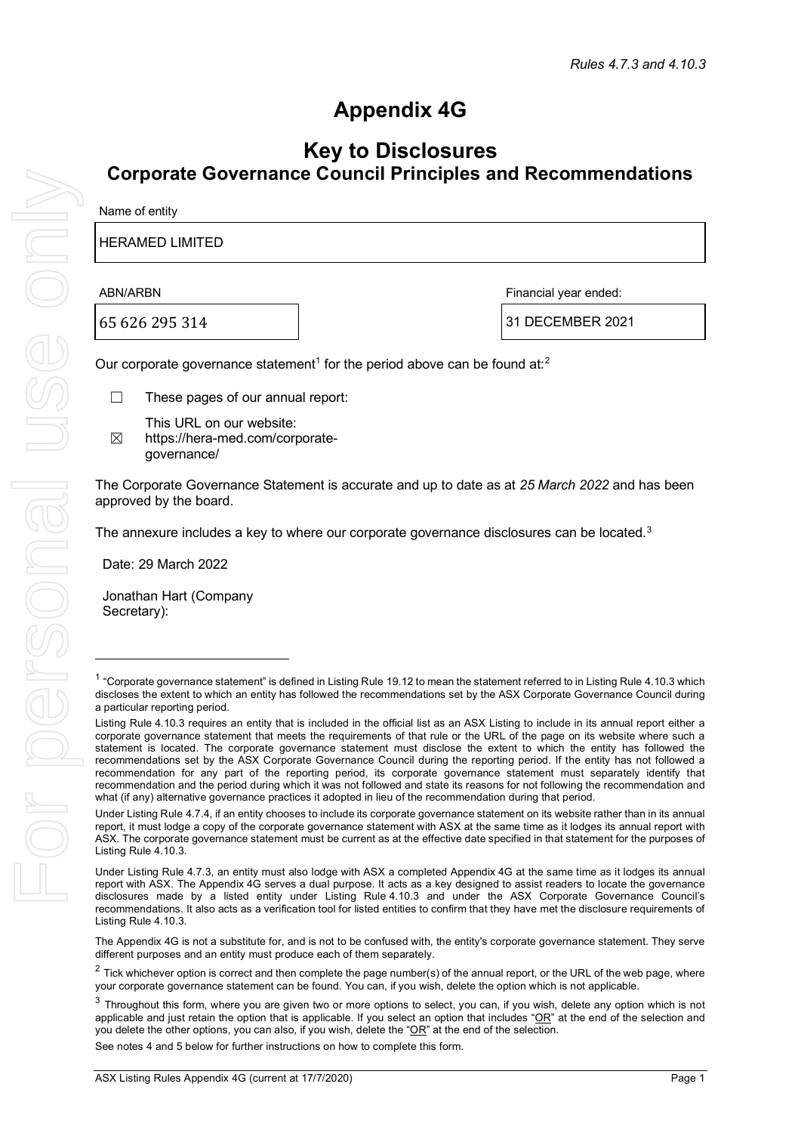# **Appendix 4G**

# **Key to Disclosures Corporate Governance Council Principles and Recommendations**

#### HERAMED LIMITED

65 626 295 314 31 DECEMBER 2021

ABN/ARBN Financial year ended:

Our corporate governance statement<sup>[1](#page-0-0)</sup> for the period above can be found at:<sup>[2](#page-0-1)</sup>

- ☐ These pages of our annual report:
- $<sup>8</sup>$ </sup> This URL on our website: https://hera-med.com/corporategovernance/

The Corporate Governance Statement is accurate and up to date as at *25 March 2022* and has been approved by the board.

The annexure includes a key to where our corporate governance disclosures can be located.<sup>[3](#page-0-2)</sup>

Date: 29 March 2022

Jonathan Hart (Company Secretary):

The Appendix 4G is not a substitute for, and is not to be confused with, the entity's corporate governance statement. They serve different purposes and an entity must produce each of them separately.

See notes 4 and 5 below for further instructions on how to complete this form.

<span id="page-0-0"></span> $1$  "Corporate governance statement" is defined in Listing Rule 19.12 to mean the statement referred to in Listing Rule 4.10.3 which discloses the extent to which an entity has followed the recommendations set by the ASX Corporate Governance Council during a particular reporting period.

Listing Rule 4.10.3 requires an entity that is included in the official list as an ASX Listing to include in its annual report either a corporate governance statement that meets the requirements of that rule or the URL of the page on its website where such a statement is located. The corporate governance statement must disclose the extent to which the entity has followed the recommendations set by the ASX Corporate Governance Council during the reporting period. If the entity has not followed a recommendation for any part of the reporting period, its corporate governance statement must separately identify that recommendation and the period during which it was not followed and state its reasons for not following the recommendation and what (if any) alternative governance practices it adopted in lieu of the recommendation during that period.

Under Listing Rule 4.7.4, if an entity chooses to include its corporate governance statement on its website rather than in its annual report, it must lodge a copy of the corporate governance statement with ASX at the same time as it lodges its annual report with ASX. The corporate governance statement must be current as at the effective date specified in that statement for the purposes of Listing Rule 4.10.3.

Under Listing Rule 4.7.3, an entity must also lodge with ASX a completed Appendix 4G at the same time as it lodges its annual report with ASX. The Appendix 4G serves a dual purpose. It acts as a key designed to assist readers to locate the governance disclosures made by a listed entity under Listing Rule 4.10.3 and under the ASX Corporate Governance Council's recommendations. It also acts as a verification tool for listed entities to confirm that they have met the disclosure requirements of Listing Rule 4.10.3.

<span id="page-0-1"></span> $2$  Tick whichever option is correct and then complete the page number(s) of the annual report, or the URL of the web page, where your corporate governance statement can be found. You can, if you wish, delete the option which is not applicable.

<span id="page-0-2"></span> $3$  Throughout this form, where you are given two or more options to select, you can, if you wish, delete any option which is not applicable and just retain the option that is applicable. If you select an option that includes " $OR$ " at the end of the selection and you delete the other options, you can also, if you wish, delete the "OR" at the end of the selection.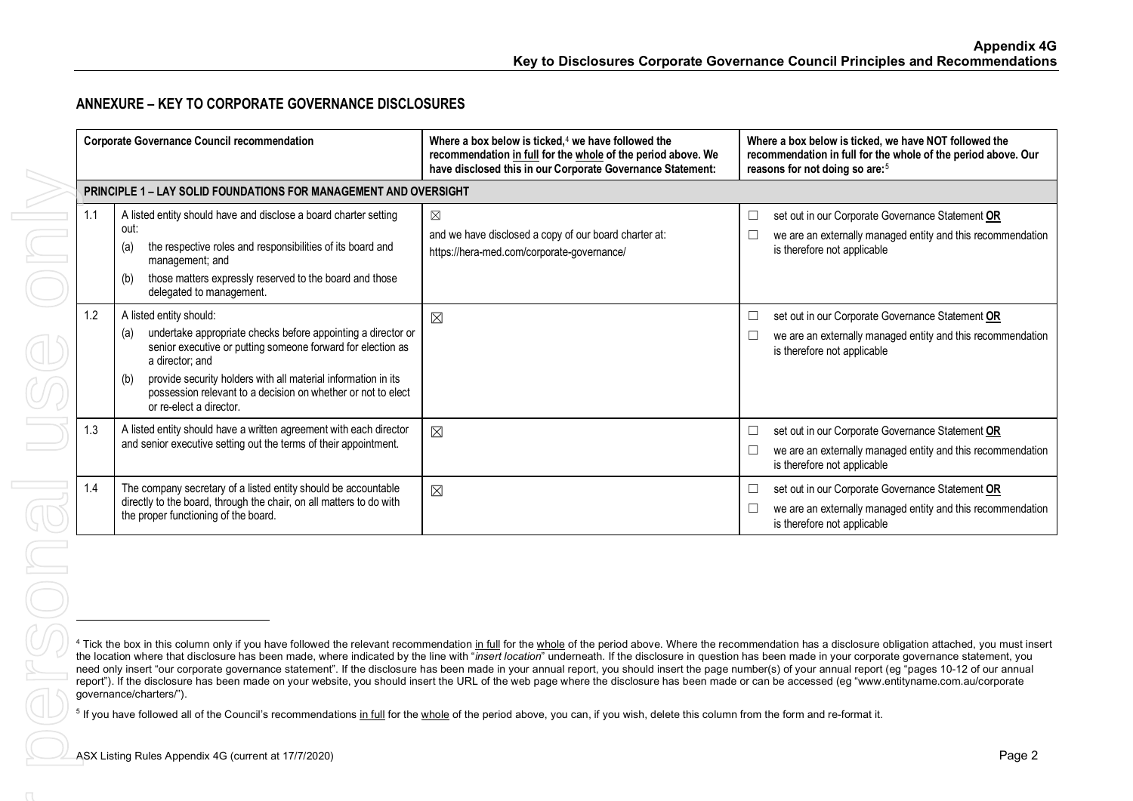# <span id="page-1-1"></span><span id="page-1-0"></span>**ANNEXURE – KEY TO CORPORATE GOVERNANCE DISCLOSURES**

|                                                                  | <b>Corporate Governance Council recommendation</b>                                                                                                                                                                                                                                                                                                  | Where a box below is ticked, <sup>4</sup> we have followed the<br>recommendation in full for the whole of the period above. We<br>have disclosed this in our Corporate Governance Statement:                                                                                                                                                                                                                                                                                                                                                                                                                                                                                                                                                                                                                         | Where a box below is ticked, we have NOT followed the<br>recommendation in full for the whole of the period above. Our<br>reasons for not doing so are: <sup>5</sup>                                                     |  |
|------------------------------------------------------------------|-----------------------------------------------------------------------------------------------------------------------------------------------------------------------------------------------------------------------------------------------------------------------------------------------------------------------------------------------------|----------------------------------------------------------------------------------------------------------------------------------------------------------------------------------------------------------------------------------------------------------------------------------------------------------------------------------------------------------------------------------------------------------------------------------------------------------------------------------------------------------------------------------------------------------------------------------------------------------------------------------------------------------------------------------------------------------------------------------------------------------------------------------------------------------------------|--------------------------------------------------------------------------------------------------------------------------------------------------------------------------------------------------------------------------|--|
| PRINCIPLE 1 - LAY SOLID FOUNDATIONS FOR MANAGEMENT AND OVERSIGHT |                                                                                                                                                                                                                                                                                                                                                     |                                                                                                                                                                                                                                                                                                                                                                                                                                                                                                                                                                                                                                                                                                                                                                                                                      |                                                                                                                                                                                                                          |  |
| 1.1                                                              | A listed entity should have and disclose a board charter setting<br>out:<br>the respective roles and responsibilities of its board and<br>(a)<br>management; and<br>those matters expressly reserved to the board and those<br>(b)<br>delegated to management.                                                                                      | ⊠<br>and we have disclosed a copy of our board charter at:<br>https://hera-med.com/corporate-governance/                                                                                                                                                                                                                                                                                                                                                                                                                                                                                                                                                                                                                                                                                                             | set out in our Corporate Governance Statement OR<br>$\Box$<br>we are an externally managed entity and this recommendation<br>is therefore not applicable                                                                 |  |
| 1.2                                                              | A listed entity should:<br>undertake appropriate checks before appointing a director or<br>(a)<br>senior executive or putting someone forward for election as<br>a director; and<br>provide security holders with all material information in its<br>(b)<br>possession relevant to a decision on whether or not to elect<br>or re-elect a director. | $\boxtimes$                                                                                                                                                                                                                                                                                                                                                                                                                                                                                                                                                                                                                                                                                                                                                                                                          | set out in our Corporate Governance Statement OR<br>$\Box$<br>we are an externally managed entity and this recommendation<br>$\Box$<br>is therefore not applicable                                                       |  |
| 1.3                                                              | A listed entity should have a written agreement with each director<br>and senior executive setting out the terms of their appointment.                                                                                                                                                                                                              | $\boxtimes$                                                                                                                                                                                                                                                                                                                                                                                                                                                                                                                                                                                                                                                                                                                                                                                                          | set out in our Corporate Governance Statement OR<br>$\Box$<br>$\Box$<br>we are an externally managed entity and this recommendation<br>is therefore not applicable                                                       |  |
| 1.4                                                              | The company secretary of a listed entity should be accountable<br>directly to the board, through the chair, on all matters to do with<br>the proper functioning of the board.                                                                                                                                                                       | $\boxtimes$                                                                                                                                                                                                                                                                                                                                                                                                                                                                                                                                                                                                                                                                                                                                                                                                          | set out in our Corporate Governance Statement OR<br>$\Box$<br>we are an externally managed entity and this recommendation<br>$\Box$<br>is therefore not applicable                                                       |  |
|                                                                  | governance/charters/").                                                                                                                                                                                                                                                                                                                             | the location where that disclosure has been made, where indicated by the line with "insert location" underneath. If the disclosure in question has been made in your corporate governance statement, you<br>need only insert "our corporate governance statement". If the disclosure has been made in your annual report, you should insert the page number(s) of your annual report (eg "pages 10-12 of our annual<br>report"). If the disclosure has been made on your website, you should insert the URL of the web page where the disclosure has been made or can be accessed (eg "www.entityname.com.au/corporate<br><sup>5</sup> If you have followed all of the Council's recommendations in full for the whole of the period above, you can, if you wish, delete this column from the form and re-format it. | <sup>4</sup> Tick the box in this column only if you have followed the relevant recommendation in full for the whole of the period above. Where the recommendation has a disclosure obligation attached, you must insert |  |
|                                                                  | ASX Listing Rules Appendix 4G (current at 17/7/2020)                                                                                                                                                                                                                                                                                                |                                                                                                                                                                                                                                                                                                                                                                                                                                                                                                                                                                                                                                                                                                                                                                                                                      | Page 2                                                                                                                                                                                                                   |  |
|                                                                  |                                                                                                                                                                                                                                                                                                                                                     |                                                                                                                                                                                                                                                                                                                                                                                                                                                                                                                                                                                                                                                                                                                                                                                                                      |                                                                                                                                                                                                                          |  |
|                                                                  |                                                                                                                                                                                                                                                                                                                                                     |                                                                                                                                                                                                                                                                                                                                                                                                                                                                                                                                                                                                                                                                                                                                                                                                                      |                                                                                                                                                                                                                          |  |

<sup>&</sup>lt;sup>4</sup> Tick the box in this column only if you have followed the relevant recommendation in full for the whole of the period above. Where the recommendation has a disclosure obligation attached, you must insert the location where that disclosure has been made, where indicated by the line with "*insert location*" underneath. If the disclosure in question has been made in your corporate governance statement, you need only insert "our corporate governance statement". If the disclosure has been made in your annual report, you should insert the page number(s) of your annual report (eg "pages 10-12 of our annual report"). If the disclosure has been made on your website, you should insert the URL of the web page where the disclosure has been made or can be accessed (eg "www.entityname.com.au/corporate governance/charters/").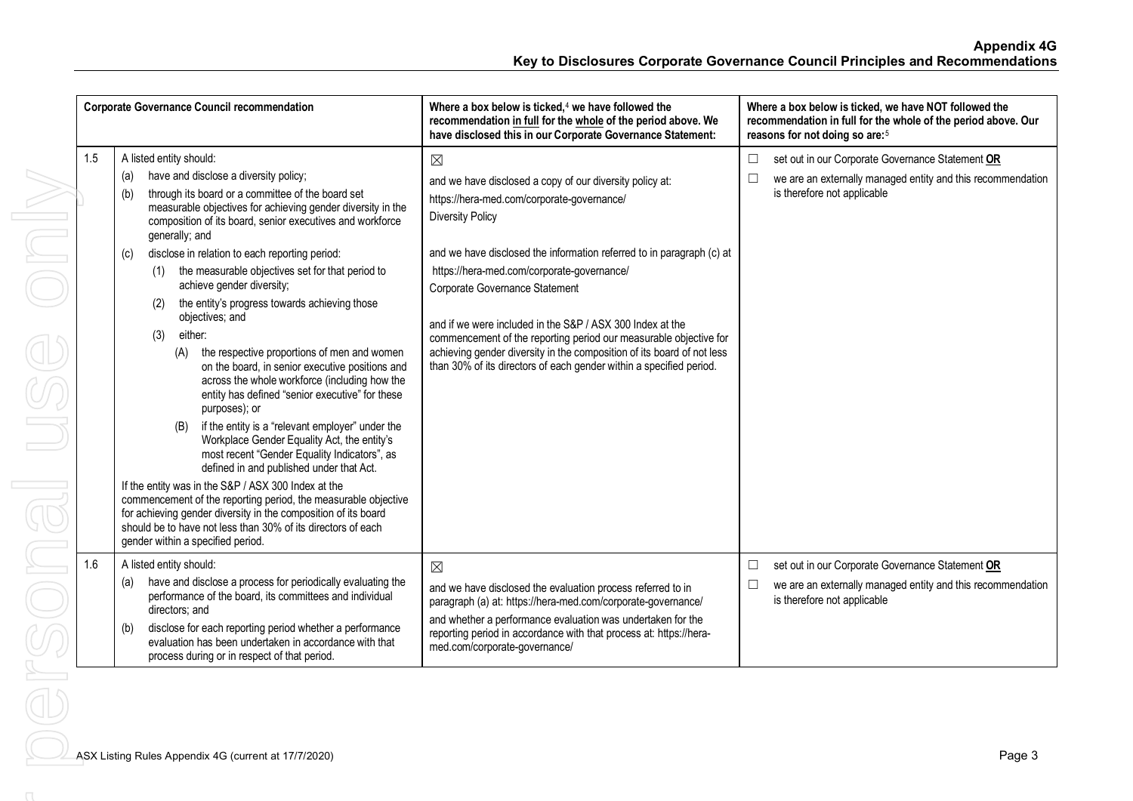| <b>Corporate Governance Council recommendation</b> |                                                                                                                                                                                                                                                                                                                                                                                                                                                                                                                                                                                                                                                                                                                                                                                                                                                                                                                                                                                                                                                                                                                                                                                                                                                              | Where a box below is ticked, $4$ we have followed the<br>recommendation in full for the whole of the period above. We<br>have disclosed this in our Corporate Governance Statement:                                                                                                                                                                                                                                                                                                                                                                                                          | Where a box below is ticked, we have NOT followed the<br>recommendation in full for the whole of the period above. Our<br>reasons for not doing so are: <sup>5</sup> |
|----------------------------------------------------|--------------------------------------------------------------------------------------------------------------------------------------------------------------------------------------------------------------------------------------------------------------------------------------------------------------------------------------------------------------------------------------------------------------------------------------------------------------------------------------------------------------------------------------------------------------------------------------------------------------------------------------------------------------------------------------------------------------------------------------------------------------------------------------------------------------------------------------------------------------------------------------------------------------------------------------------------------------------------------------------------------------------------------------------------------------------------------------------------------------------------------------------------------------------------------------------------------------------------------------------------------------|----------------------------------------------------------------------------------------------------------------------------------------------------------------------------------------------------------------------------------------------------------------------------------------------------------------------------------------------------------------------------------------------------------------------------------------------------------------------------------------------------------------------------------------------------------------------------------------------|----------------------------------------------------------------------------------------------------------------------------------------------------------------------|
| 1.5                                                | A listed entity should:<br>have and disclose a diversity policy;<br>(a)<br>through its board or a committee of the board set<br>(b)<br>measurable objectives for achieving gender diversity in the<br>composition of its board, senior executives and workforce<br>generally; and<br>disclose in relation to each reporting period:<br>(c)<br>the measurable objectives set for that period to<br>achieve gender diversity;<br>the entity's progress towards achieving those<br>(2)<br>objectives; and<br>either:<br>(3)<br>the respective proportions of men and women<br>(A)<br>on the board, in senior executive positions and<br>across the whole workforce (including how the<br>entity has defined "senior executive" for these<br>purposes); or<br>if the entity is a "relevant employer" under the<br>(B)<br>Workplace Gender Equality Act, the entity's<br>most recent "Gender Equality Indicators", as<br>defined in and published under that Act.<br>If the entity was in the S&P / ASX 300 Index at the<br>commencement of the reporting period, the measurable objective<br>for achieving gender diversity in the composition of its board<br>should be to have not less than 30% of its directors of each<br>gender within a specified period. | $\boxtimes$<br>and we have disclosed a copy of our diversity policy at:<br>https://hera-med.com/corporate-governance/<br><b>Diversity Policy</b><br>and we have disclosed the information referred to in paragraph (c) at<br>https://hera-med.com/corporate-governance/<br>Corporate Governance Statement<br>and if we were included in the S&P / ASX 300 Index at the<br>commencement of the reporting period our measurable objective for<br>achieving gender diversity in the composition of its board of not less<br>than 30% of its directors of each gender within a specified period. | set out in our Corporate Governance Statement OR<br>$\Box$<br>we are an externally managed entity and this recommendation<br>$\Box$<br>is therefore not applicable   |
| 1.6                                                | A listed entity should:<br>have and disclose a process for periodically evaluating the<br>(a)<br>performance of the board, its committees and individual<br>directors; and<br>disclose for each reporting period whether a performance<br>(b)<br>evaluation has been undertaken in accordance with that<br>process during or in respect of that period.                                                                                                                                                                                                                                                                                                                                                                                                                                                                                                                                                                                                                                                                                                                                                                                                                                                                                                      | $\boxtimes$<br>and we have disclosed the evaluation process referred to in<br>paragraph (a) at: https://hera-med.com/corporate-governance/<br>and whether a performance evaluation was undertaken for the<br>reporting period in accordance with that process at: https://hera-<br>med.com/corporate-governance/                                                                                                                                                                                                                                                                             | set out in our Corporate Governance Statement OR<br>$\Box$<br>we are an externally managed entity and this recommendation<br>$\Box$<br>is therefore not applicable   |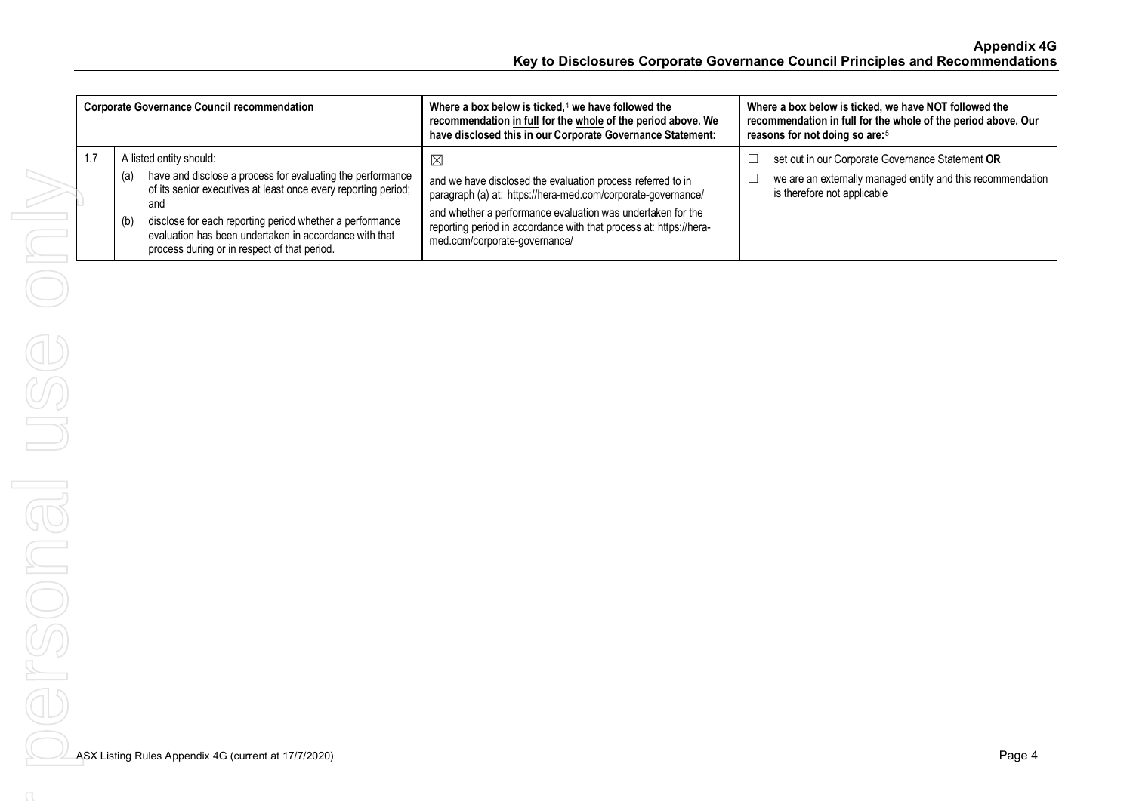| <b>Corporate Governance Council recommendation</b> |                                                                                                                                                                                                                                                                                                                                                    | Where a box below is ticked, $4$ we have followed the<br>recommendation in full for the whole of the period above. We<br>have disclosed this in our Corporate Governance Statement:                                                                                                                              | Where a box below is ticked, we have NOT followed the<br>recommendation in full for the whole of the period above. Our<br>reasons for not doing so are: <sup>5</sup> |
|----------------------------------------------------|----------------------------------------------------------------------------------------------------------------------------------------------------------------------------------------------------------------------------------------------------------------------------------------------------------------------------------------------------|------------------------------------------------------------------------------------------------------------------------------------------------------------------------------------------------------------------------------------------------------------------------------------------------------------------|----------------------------------------------------------------------------------------------------------------------------------------------------------------------|
| 1.7                                                | A listed entity should:<br>have and disclose a process for evaluating the performance<br>(a)<br>of its senior executives at least once every reporting period;<br>and<br>disclose for each reporting period whether a performance<br>(b)<br>evaluation has been undertaken in accordance with that<br>process during or in respect of that period. | $\boxtimes$<br>and we have disclosed the evaluation process referred to in<br>paragraph (a) at: https://hera-med.com/corporate-governance/<br>and whether a performance evaluation was undertaken for the<br>reporting period in accordance with that process at: https://hera-<br>med.com/corporate-governance/ | set out in our Corporate Governance Statement OR<br>we are an externally managed entity and this recommendation<br>is therefore not applicable                       |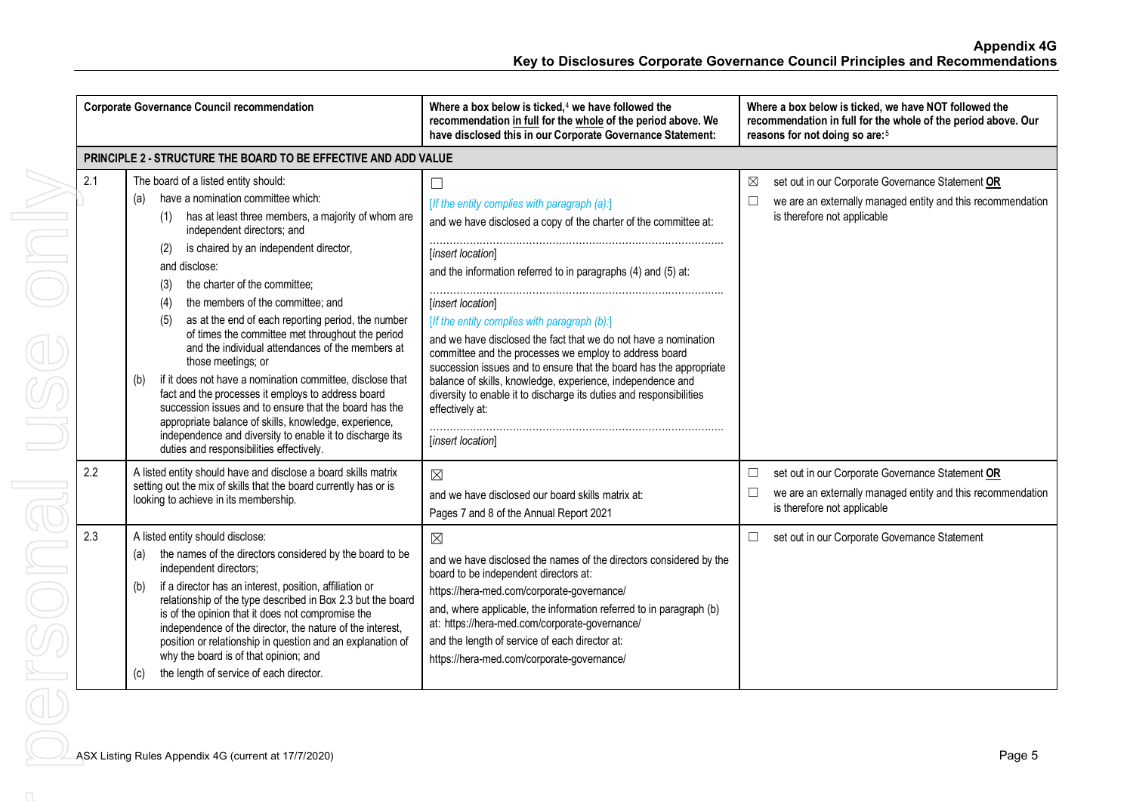|            | <b>Corporate Governance Council recommendation</b>                                                                                                                                                                                                                                                                                                                                                                                                                                                                                                                                                                                                                                                                                                                                                                                     | Where a box below is ticked, $4$ we have followed the<br>recommendation in full for the whole of the period above. We<br>have disclosed this in our Corporate Governance Statement:                                                                                                                                                                                                                                                                                                                                                                                                                                                                              | Where a box below is ticked, we have NOT followed the<br>recommendation in full for the whole of the period above. Our<br>reasons for not doing so are: <sup>5</sup>                                                          |
|------------|----------------------------------------------------------------------------------------------------------------------------------------------------------------------------------------------------------------------------------------------------------------------------------------------------------------------------------------------------------------------------------------------------------------------------------------------------------------------------------------------------------------------------------------------------------------------------------------------------------------------------------------------------------------------------------------------------------------------------------------------------------------------------------------------------------------------------------------|------------------------------------------------------------------------------------------------------------------------------------------------------------------------------------------------------------------------------------------------------------------------------------------------------------------------------------------------------------------------------------------------------------------------------------------------------------------------------------------------------------------------------------------------------------------------------------------------------------------------------------------------------------------|-------------------------------------------------------------------------------------------------------------------------------------------------------------------------------------------------------------------------------|
|            | PRINCIPLE 2 - STRUCTURE THE BOARD TO BE EFFECTIVE AND ADD VALUE                                                                                                                                                                                                                                                                                                                                                                                                                                                                                                                                                                                                                                                                                                                                                                        |                                                                                                                                                                                                                                                                                                                                                                                                                                                                                                                                                                                                                                                                  |                                                                                                                                                                                                                               |
| 2.1        | The board of a listed entity should:<br>have a nomination committee which:<br>(a)<br>has at least three members, a majority of whom are<br>(1)<br>independent directors; and<br>is chaired by an independent director,<br>(2)<br>and disclose:<br>the charter of the committee;<br>(3)<br>the members of the committee; and<br>(4)<br>as at the end of each reporting period, the number<br>(5)<br>of times the committee met throughout the period<br>and the individual attendances of the members at<br>those meetings; or<br>if it does not have a nomination committee, disclose that<br>(b)<br>fact and the processes it employs to address board<br>succession issues and to ensure that the board has the<br>appropriate balance of skills, knowledge, experience,<br>independence and diversity to enable it to discharge its | П<br>[If the entity complies with paragraph (a):]<br>and we have disclosed a copy of the charter of the committee at:<br>[insert location]<br>and the information referred to in paragraphs (4) and (5) at:<br>[insert location]<br>[If the entity complies with paragraph (b):]<br>and we have disclosed the fact that we do not have a nomination<br>committee and the processes we employ to address board<br>succession issues and to ensure that the board has the appropriate<br>balance of skills, knowledge, experience, independence and<br>diversity to enable it to discharge its duties and responsibilities<br>effectively at:<br>[insert location] | set out in our Corporate Governance Statement OR<br>⊠<br>we are an externally managed entity and this recommendation<br>⊏<br>is therefore not applicable                                                                      |
| 2.2<br>2.3 | duties and responsibilities effectively.<br>A listed entity should have and disclose a board skills matrix<br>setting out the mix of skills that the board currently has or is<br>looking to achieve in its membership.<br>A listed entity should disclose:<br>the names of the directors considered by the board to be<br>(a)<br>independent directors;<br>if a director has an interest, position, affiliation or<br>(b)<br>relationship of the type described in Box 2.3 but the board<br>is of the opinion that it does not compromise the<br>independence of the director, the nature of the interest,<br>position or relationship in question and an explanation of<br>why the board is of that opinion; and<br>the length of service of each director.<br>(c)                                                                   | $\boxtimes$<br>and we have disclosed our board skills matrix at:<br>Pages 7 and 8 of the Annual Report 2021<br>$\boxtimes$<br>and we have disclosed the names of the directors considered by the<br>board to be independent directors at:<br>https://hera-med.com/corporate-governance/<br>and, where applicable, the information referred to in paragraph (b)<br>at: https://hera-med.com/corporate-governance/<br>and the length of service of each director at:<br>https://hera-med.com/corporate-governance/                                                                                                                                                 | set out in our Corporate Governance Statement OR<br>$\Box$<br>we are an externally managed entity and this recommendation<br>$\Box$<br>is therefore not applicable<br>set out in our Corporate Governance Statement<br>$\Box$ |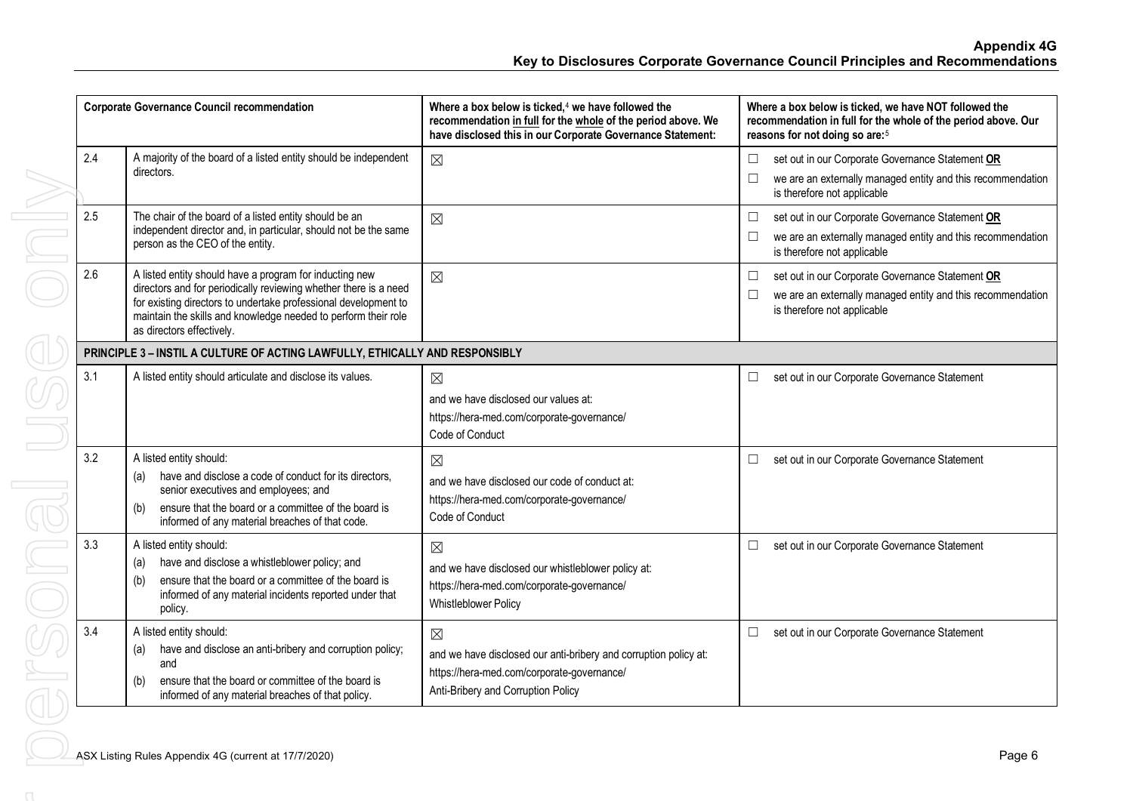|     | <b>Corporate Governance Council recommendation</b>                                                                                                                                                                                                                                            | Where a box below is ticked, $4$ we have followed the<br>recommendation in full for the whole of the period above. We<br>have disclosed this in our Corporate Governance Statement: | Where a box below is ticked, we have NOT followed the<br>recommendation in full for the whole of the period above. Our<br>reasons for not doing so are: <sup>5</sup> |
|-----|-----------------------------------------------------------------------------------------------------------------------------------------------------------------------------------------------------------------------------------------------------------------------------------------------|-------------------------------------------------------------------------------------------------------------------------------------------------------------------------------------|----------------------------------------------------------------------------------------------------------------------------------------------------------------------|
| 2.4 | A majority of the board of a listed entity should be independent<br>directors.                                                                                                                                                                                                                | $\boxtimes$                                                                                                                                                                         | set out in our Corporate Governance Statement OR<br>$\Box$<br>we are an externally managed entity and this recommendation<br>is therefore not applicable             |
| 2.5 | The chair of the board of a listed entity should be an<br>independent director and, in particular, should not be the same<br>person as the CEO of the entity.                                                                                                                                 | $\boxtimes$                                                                                                                                                                         | set out in our Corporate Governance Statement OR<br>we are an externally managed entity and this recommendation<br>is therefore not applicable                       |
| 2.6 | A listed entity should have a program for inducting new<br>directors and for periodically reviewing whether there is a need<br>for existing directors to undertake professional development to<br>maintain the skills and knowledge needed to perform their role<br>as directors effectively. | $\boxtimes$                                                                                                                                                                         | set out in our Corporate Governance Statement OR<br>$\Box$<br>we are an externally managed entity and this recommendation<br>is therefore not applicable             |
|     | PRINCIPLE 3 - INSTIL A CULTURE OF ACTING LAWFULLY, ETHICALLY AND RESPONSIBLY                                                                                                                                                                                                                  |                                                                                                                                                                                     |                                                                                                                                                                      |
| 3.1 | A listed entity should articulate and disclose its values.                                                                                                                                                                                                                                    | $\boxtimes$<br>and we have disclosed our values at:<br>https://hera-med.com/corporate-governance/<br>Code of Conduct                                                                | set out in our Corporate Governance Statement<br>$\Box$                                                                                                              |
| 3.2 | A listed entity should:<br>have and disclose a code of conduct for its directors,<br>(a)<br>senior executives and employees; and<br>ensure that the board or a committee of the board is<br>(b)<br>informed of any material breaches of that code.                                            | ⊠<br>and we have disclosed our code of conduct at:<br>https://hera-med.com/corporate-governance/<br>Code of Conduct                                                                 | set out in our Corporate Governance Statement                                                                                                                        |
| 3.3 | A listed entity should:<br>have and disclose a whistleblower policy; and<br>(a)<br>ensure that the board or a committee of the board is<br>(b)<br>informed of any material incidents reported under that<br>policy.                                                                           | ⊠<br>and we have disclosed our whistleblower policy at:<br>https://hera-med.com/corporate-governance/<br><b>Whistleblower Policy</b>                                                | set out in our Corporate Governance Statement<br>$\Box$                                                                                                              |
| 3.4 | A listed entity should:<br>have and disclose an anti-bribery and corruption policy;<br>(a)<br>and<br>ensure that the board or committee of the board is<br>(b)<br>informed of any material breaches of that policy.                                                                           | $\boxtimes$<br>and we have disclosed our anti-bribery and corruption policy at:<br>https://hera-med.com/corporate-governance/<br>Anti-Bribery and Corruption Policy                 | set out in our Corporate Governance Statement                                                                                                                        |
|     | ASX Listing Rules Appendix 4G (current at 17/7/2020)                                                                                                                                                                                                                                          |                                                                                                                                                                                     | Page 6                                                                                                                                                               |
|     |                                                                                                                                                                                                                                                                                               |                                                                                                                                                                                     |                                                                                                                                                                      |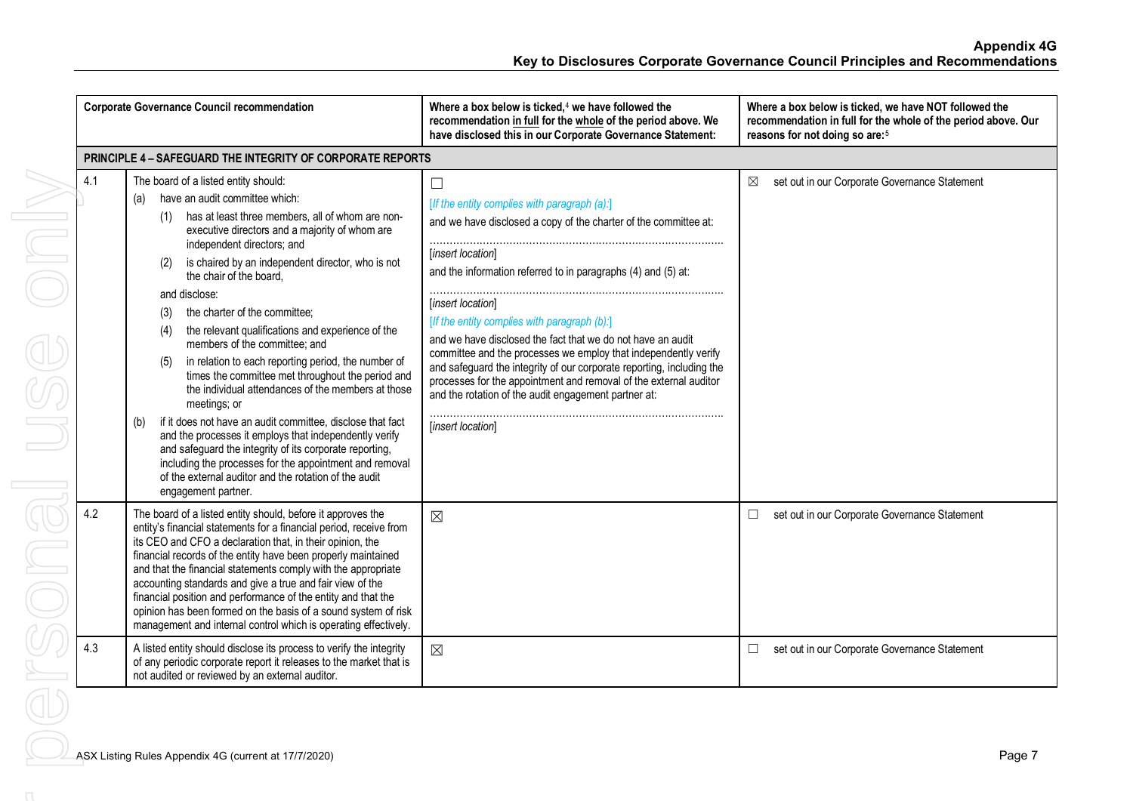|     | <b>Corporate Governance Council recommendation</b>                                                                                                                                                                                                                                                                                                                                                                                                                                                                                                                                                                                                                                                                                                                                                                                                                                                                                                                                           | Where a box below is ticked, $4$ we have followed the<br>recommendation in full for the whole of the period above. We<br>have disclosed this in our Corporate Governance Statement:                                                                                                                                                                                                                                                                                                                                                                                                                                                                | Where a box below is ticked, we have NOT followed the<br>recommendation in full for the whole of the period above. Our<br>reasons for not doing so are: <sup>5</sup> |
|-----|----------------------------------------------------------------------------------------------------------------------------------------------------------------------------------------------------------------------------------------------------------------------------------------------------------------------------------------------------------------------------------------------------------------------------------------------------------------------------------------------------------------------------------------------------------------------------------------------------------------------------------------------------------------------------------------------------------------------------------------------------------------------------------------------------------------------------------------------------------------------------------------------------------------------------------------------------------------------------------------------|----------------------------------------------------------------------------------------------------------------------------------------------------------------------------------------------------------------------------------------------------------------------------------------------------------------------------------------------------------------------------------------------------------------------------------------------------------------------------------------------------------------------------------------------------------------------------------------------------------------------------------------------------|----------------------------------------------------------------------------------------------------------------------------------------------------------------------|
|     | <b>PRINCIPLE 4 - SAFEGUARD THE INTEGRITY OF CORPORATE REPORTS</b>                                                                                                                                                                                                                                                                                                                                                                                                                                                                                                                                                                                                                                                                                                                                                                                                                                                                                                                            |                                                                                                                                                                                                                                                                                                                                                                                                                                                                                                                                                                                                                                                    |                                                                                                                                                                      |
| 4.1 | The board of a listed entity should:<br>have an audit committee which:<br>(a)<br>has at least three members, all of whom are non-<br>(1)<br>executive directors and a majority of whom are<br>independent directors; and<br>is chaired by an independent director, who is not<br>the chair of the board.<br>and disclose:<br>the charter of the committee;<br>(3)<br>the relevant qualifications and experience of the<br>(4)<br>members of the committee; and<br>in relation to each reporting period, the number of<br>(5)<br>times the committee met throughout the period and<br>the individual attendances of the members at those<br>meetings; or<br>if it does not have an audit committee, disclose that fact<br>(b)<br>and the processes it employs that independently verify<br>and safeguard the integrity of its corporate reporting,<br>including the processes for the appointment and removal<br>of the external auditor and the rotation of the audit<br>engagement partner. | $\Box$<br>[If the entity complies with paragraph (a):]<br>and we have disclosed a copy of the charter of the committee at:<br>[insert location]<br>and the information referred to in paragraphs (4) and (5) at:<br>[insert location]<br>[If the entity complies with paragraph (b):]<br>and we have disclosed the fact that we do not have an audit<br>committee and the processes we employ that independently verify<br>and safeguard the integrity of our corporate reporting, including the<br>processes for the appointment and removal of the external auditor<br>and the rotation of the audit engagement partner at:<br>[insert location] | set out in our Corporate Governance Statement<br>⊠                                                                                                                   |
| 4.2 | The board of a listed entity should, before it approves the<br>entity's financial statements for a financial period, receive from<br>its CEO and CFO a declaration that, in their opinion, the<br>financial records of the entity have been properly maintained<br>and that the financial statements comply with the appropriate<br>accounting standards and give a true and fair view of the<br>financial position and performance of the entity and that the<br>opinion has been formed on the basis of a sound system of risk<br>management and internal control which is operating effectively.                                                                                                                                                                                                                                                                                                                                                                                          | $\boxtimes$                                                                                                                                                                                                                                                                                                                                                                                                                                                                                                                                                                                                                                        | set out in our Corporate Governance Statement<br>$\Box$                                                                                                              |
| 4.3 | A listed entity should disclose its process to verify the integrity<br>of any periodic corporate report it releases to the market that is<br>not audited or reviewed by an external auditor.                                                                                                                                                                                                                                                                                                                                                                                                                                                                                                                                                                                                                                                                                                                                                                                                 | $\boxtimes$                                                                                                                                                                                                                                                                                                                                                                                                                                                                                                                                                                                                                                        | set out in our Corporate Governance Statement<br>$\Box$                                                                                                              |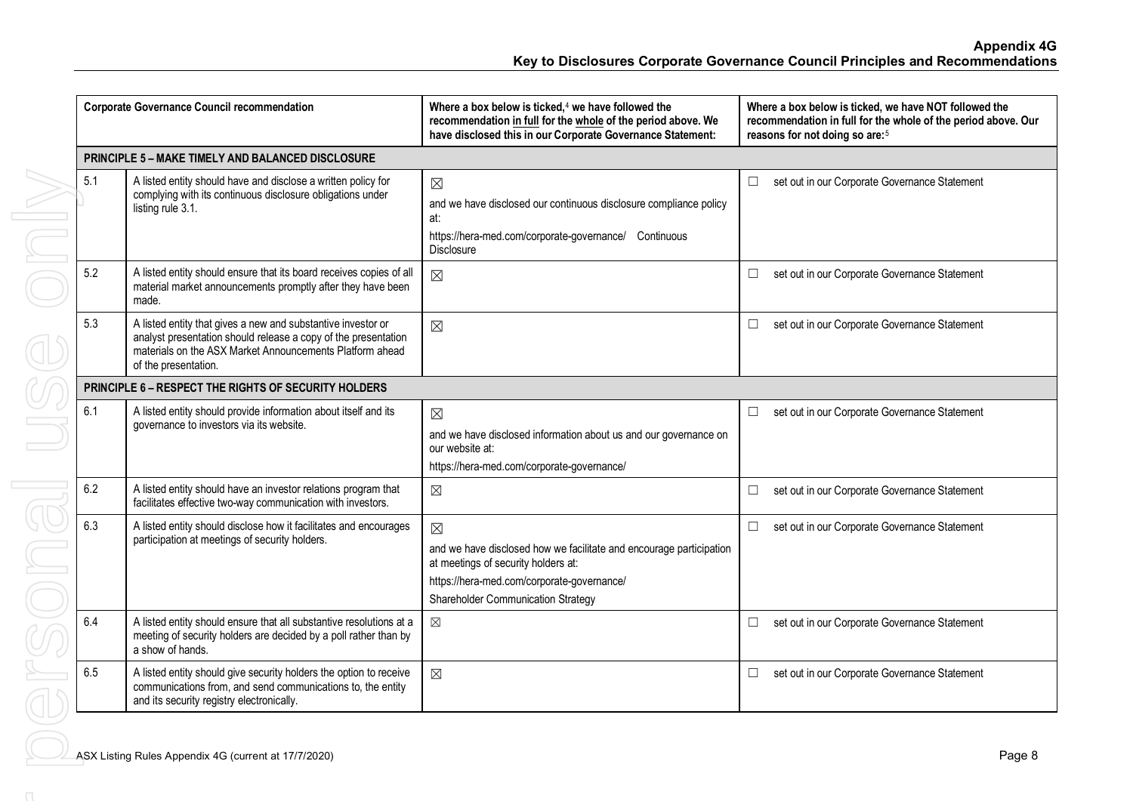|     | <b>Corporate Governance Council recommendation</b>                                                                                                                                                                 | Where a box below is ticked, $4$ we have followed the<br>recommendation in full for the whole of the period above. We<br>have disclosed this in our Corporate Governance Statement:                           | Where a box below is ticked, we have NOT followed the<br>recommendation in full for the whole of the period above. Our<br>reasons for not doing so are: <sup>5</sup> |
|-----|--------------------------------------------------------------------------------------------------------------------------------------------------------------------------------------------------------------------|---------------------------------------------------------------------------------------------------------------------------------------------------------------------------------------------------------------|----------------------------------------------------------------------------------------------------------------------------------------------------------------------|
|     | <b>PRINCIPLE 5 - MAKE TIMELY AND BALANCED DISCLOSURE</b>                                                                                                                                                           |                                                                                                                                                                                                               |                                                                                                                                                                      |
| 5.1 | A listed entity should have and disclose a written policy for<br>complying with its continuous disclosure obligations under<br>listing rule 3.1.                                                                   | $\boxtimes$<br>and we have disclosed our continuous disclosure compliance policy<br>at:<br>https://hera-med.com/corporate-governance/ Continuous<br><b>Disclosure</b>                                         | set out in our Corporate Governance Statement<br>$\Box$                                                                                                              |
| 5.2 | A listed entity should ensure that its board receives copies of all<br>material market announcements promptly after they have been<br>made.                                                                        | $\boxtimes$                                                                                                                                                                                                   | set out in our Corporate Governance Statement<br>$\Box$                                                                                                              |
| 5.3 | A listed entity that gives a new and substantive investor or<br>analyst presentation should release a copy of the presentation<br>materials on the ASX Market Announcements Platform ahead<br>of the presentation. | $\boxtimes$                                                                                                                                                                                                   | set out in our Corporate Governance Statement<br>$\Box$                                                                                                              |
|     | PRINCIPLE 6 - RESPECT THE RIGHTS OF SECURITY HOLDERS                                                                                                                                                               |                                                                                                                                                                                                               |                                                                                                                                                                      |
| 6.1 | A listed entity should provide information about itself and its<br>governance to investors via its website.                                                                                                        | $\boxtimes$<br>and we have disclosed information about us and our governance on<br>our website at:<br>https://hera-med.com/corporate-governance/                                                              | set out in our Corporate Governance Statement<br>$\Box$                                                                                                              |
| 6.2 | A listed entity should have an investor relations program that<br>facilitates effective two-way communication with investors.                                                                                      | $\boxtimes$                                                                                                                                                                                                   | set out in our Corporate Governance Statement<br>$\Box$                                                                                                              |
| 6.3 | A listed entity should disclose how it facilitates and encourages<br>participation at meetings of security holders.                                                                                                | $\boxtimes$<br>and we have disclosed how we facilitate and encourage participation<br>at meetings of security holders at:<br>https://hera-med.com/corporate-governance/<br>Shareholder Communication Strategy | $\Box$<br>set out in our Corporate Governance Statement                                                                                                              |
| 6.4 | A listed entity should ensure that all substantive resolutions at a<br>meeting of security holders are decided by a poll rather than by<br>a show of hands.                                                        | $\boxtimes$                                                                                                                                                                                                   | $\Box$<br>set out in our Corporate Governance Statement                                                                                                              |
| 6.5 | A listed entity should give security holders the option to receive<br>communications from, and send communications to, the entity<br>and its security registry electronically.                                     | $\boxtimes$                                                                                                                                                                                                   | set out in our Corporate Governance Statement<br>$\Box$                                                                                                              |
|     | ASX Listing Rules Appendix 4G (current at 17/7/2020)                                                                                                                                                               |                                                                                                                                                                                                               | Page 8                                                                                                                                                               |
|     |                                                                                                                                                                                                                    |                                                                                                                                                                                                               |                                                                                                                                                                      |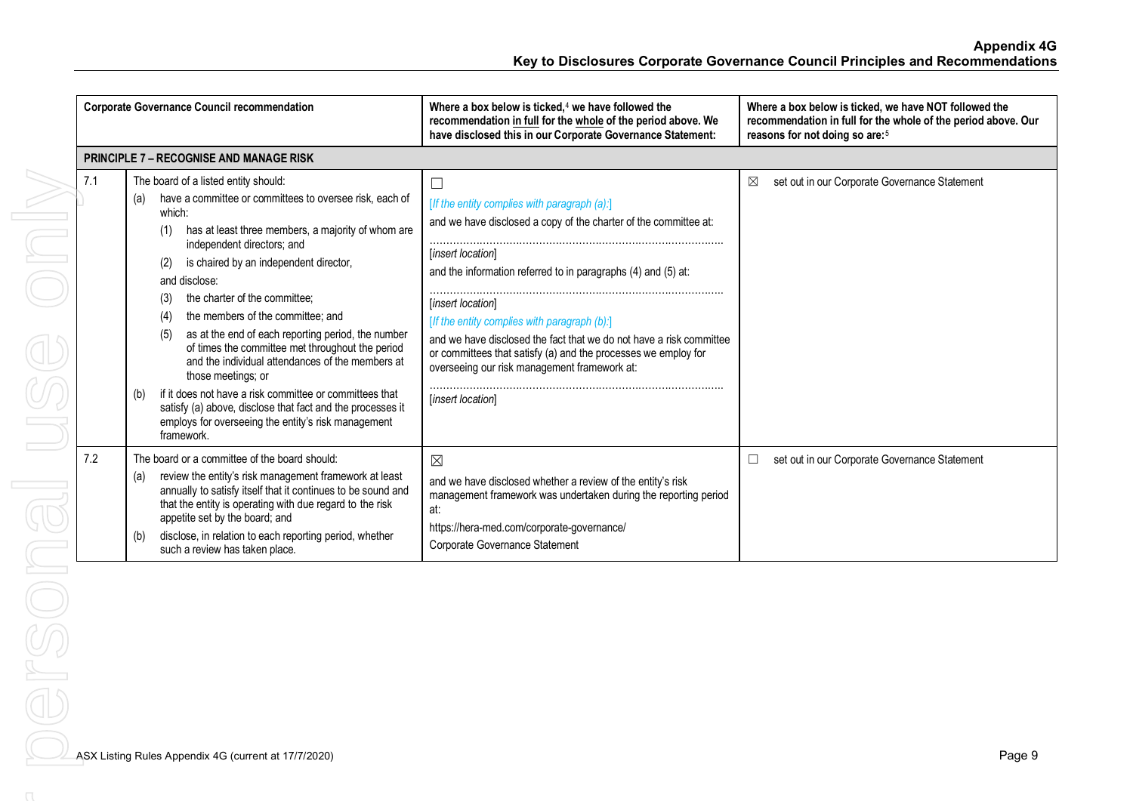| <b>Corporate Governance Council recommendation</b> |                                                                                                                                                                                                                                                                                                                                                                                                                                                                                                                                                                                                                                                                                                                                                                   | Where a box below is ticked, $4$ we have followed the<br>recommendation in full for the whole of the period above. We<br>have disclosed this in our Corporate Governance Statement:                                                                                                                                                                                                                                                                                                       | Where a box below is ticked, we have NOT followed the<br>recommendation in full for the whole of the period above. Our<br>reasons for not doing so are: <sup>5</sup> |
|----------------------------------------------------|-------------------------------------------------------------------------------------------------------------------------------------------------------------------------------------------------------------------------------------------------------------------------------------------------------------------------------------------------------------------------------------------------------------------------------------------------------------------------------------------------------------------------------------------------------------------------------------------------------------------------------------------------------------------------------------------------------------------------------------------------------------------|-------------------------------------------------------------------------------------------------------------------------------------------------------------------------------------------------------------------------------------------------------------------------------------------------------------------------------------------------------------------------------------------------------------------------------------------------------------------------------------------|----------------------------------------------------------------------------------------------------------------------------------------------------------------------|
|                                                    | <b>PRINCIPLE 7 - RECOGNISE AND MANAGE RISK</b>                                                                                                                                                                                                                                                                                                                                                                                                                                                                                                                                                                                                                                                                                                                    |                                                                                                                                                                                                                                                                                                                                                                                                                                                                                           |                                                                                                                                                                      |
| 7.1                                                | The board of a listed entity should:<br>have a committee or committees to oversee risk, each of<br>(a)<br>which:<br>has at least three members, a majority of whom are<br>(1)<br>independent directors; and<br>is chaired by an independent director,<br>(2)<br>and disclose:<br>the charter of the committee:<br>(3)<br>the members of the committee: and<br>(4)<br>as at the end of each reporting period, the number<br>(5)<br>of times the committee met throughout the period<br>and the individual attendances of the members at<br>those meetings; or<br>if it does not have a risk committee or committees that<br>(b)<br>satisfy (a) above, disclose that fact and the processes it<br>employs for overseeing the entity's risk management<br>framework. | [If the entity complies with paragraph (a):]<br>and we have disclosed a copy of the charter of the committee at:<br>[insert location]<br>and the information referred to in paragraphs (4) and (5) at:<br>[insert location]<br>[If the entity complies with paragraph (b):]<br>and we have disclosed the fact that we do not have a risk committee<br>or committees that satisfy (a) and the processes we employ for<br>overseeing our risk management framework at:<br>[insert location] | set out in our Corporate Governance Statement<br>⊠                                                                                                                   |
| 7.2                                                | The board or a committee of the board should:<br>review the entity's risk management framework at least<br>(a)<br>annually to satisfy itself that it continues to be sound and<br>that the entity is operating with due regard to the risk<br>appetite set by the board; and<br>disclose, in relation to each reporting period, whether<br>(b)<br>such a review has taken place.                                                                                                                                                                                                                                                                                                                                                                                  | $\boxtimes$<br>and we have disclosed whether a review of the entity's risk<br>management framework was undertaken during the reporting period<br>at:<br>https://hera-med.com/corporate-governance/<br>Corporate Governance Statement                                                                                                                                                                                                                                                      | set out in our Corporate Governance Statement<br>⊔                                                                                                                   |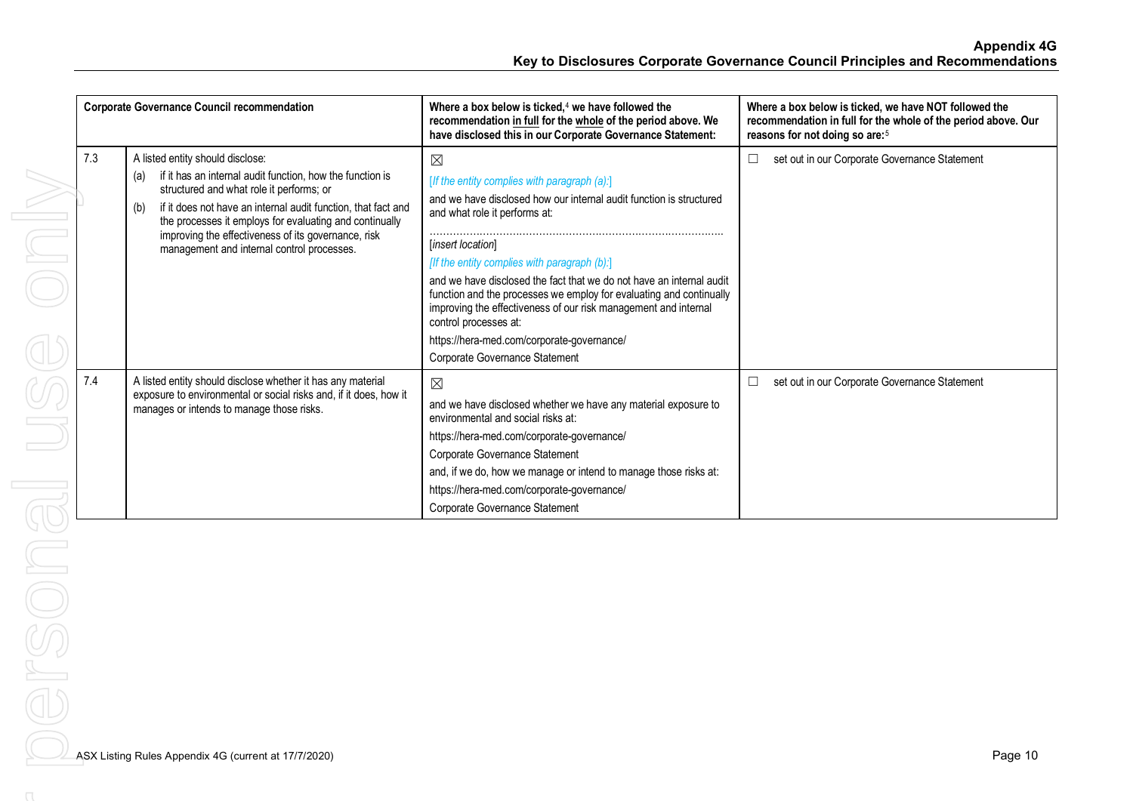| <b>Corporate Governance Council recommendation</b> |                                                                                                                                                                                                                                                                                                                                                                                          | Where a box below is ticked, $4$ we have followed the<br>recommendation in full for the whole of the period above. We<br>have disclosed this in our Corporate Governance Statement:                                                                                                                                                                                                                                                                                                                                                                                 | Where a box below is ticked, we have NOT followed the<br>recommendation in full for the whole of the period above. Our<br>reasons for not doing so are: <sup>5</sup> |
|----------------------------------------------------|------------------------------------------------------------------------------------------------------------------------------------------------------------------------------------------------------------------------------------------------------------------------------------------------------------------------------------------------------------------------------------------|---------------------------------------------------------------------------------------------------------------------------------------------------------------------------------------------------------------------------------------------------------------------------------------------------------------------------------------------------------------------------------------------------------------------------------------------------------------------------------------------------------------------------------------------------------------------|----------------------------------------------------------------------------------------------------------------------------------------------------------------------|
| 7.3                                                | A listed entity should disclose:<br>if it has an internal audit function, how the function is<br>(a)<br>structured and what role it performs; or<br>if it does not have an internal audit function, that fact and<br>(b)<br>the processes it employs for evaluating and continually<br>improving the effectiveness of its governance, risk<br>management and internal control processes. | $\boxtimes$<br>[If the entity complies with paragraph (a):]<br>and we have disclosed how our internal audit function is structured<br>and what role it performs at:<br>[insert location]<br>[If the entity complies with paragraph (b):]<br>and we have disclosed the fact that we do not have an internal audit<br>function and the processes we employ for evaluating and continually<br>improving the effectiveness of our risk management and internal<br>control processes at:<br>https://hera-med.com/corporate-governance/<br>Corporate Governance Statement | set out in our Corporate Governance Statement<br>$\Box$                                                                                                              |
| 7.4                                                | A listed entity should disclose whether it has any material<br>exposure to environmental or social risks and, if it does, how it<br>manages or intends to manage those risks.                                                                                                                                                                                                            | $\boxtimes$<br>and we have disclosed whether we have any material exposure to<br>environmental and social risks at:<br>https://hera-med.com/corporate-governance/<br>Corporate Governance Statement<br>and, if we do, how we manage or intend to manage those risks at:<br>https://hera-med.com/corporate-governance/<br>Corporate Governance Statement                                                                                                                                                                                                             | set out in our Corporate Governance Statement<br>$\Box$                                                                                                              |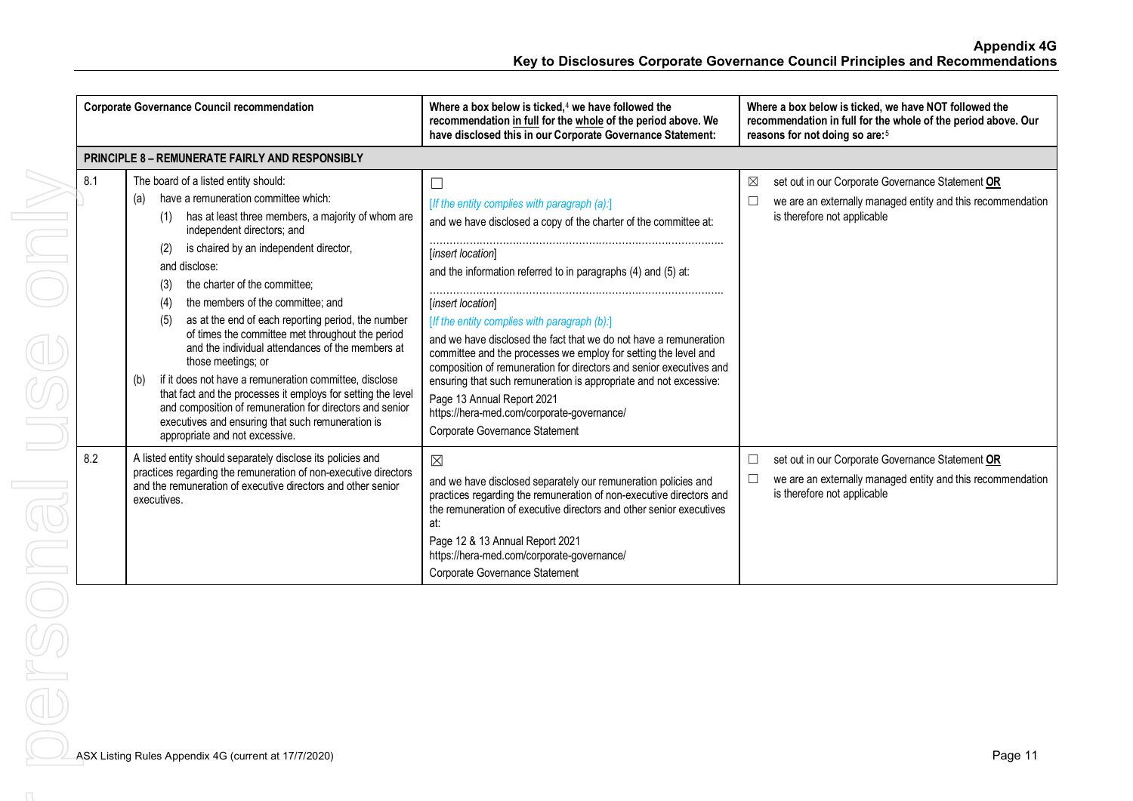| <b>Corporate Governance Council recommendation</b> |                                                                                                                                                                                                                                                                                                                                                                                                                                                                                                                                                                                                                                                                                                                                                                                                                     | Where a box below is ticked, $4$ we have followed the<br>recommendation in full for the whole of the period above. We<br>have disclosed this in our Corporate Governance Statement:                                                                                                                                                                                                                                                                                                                                                                                                                                                                                           | Where a box below is ticked, we have NOT followed the<br>recommendation in full for the whole of the period above. Our<br>reasons for not doing so are: <sup>5</sup> |
|----------------------------------------------------|---------------------------------------------------------------------------------------------------------------------------------------------------------------------------------------------------------------------------------------------------------------------------------------------------------------------------------------------------------------------------------------------------------------------------------------------------------------------------------------------------------------------------------------------------------------------------------------------------------------------------------------------------------------------------------------------------------------------------------------------------------------------------------------------------------------------|-------------------------------------------------------------------------------------------------------------------------------------------------------------------------------------------------------------------------------------------------------------------------------------------------------------------------------------------------------------------------------------------------------------------------------------------------------------------------------------------------------------------------------------------------------------------------------------------------------------------------------------------------------------------------------|----------------------------------------------------------------------------------------------------------------------------------------------------------------------|
|                                                    | <b>PRINCIPLE 8 - REMUNERATE FAIRLY AND RESPONSIBLY</b>                                                                                                                                                                                                                                                                                                                                                                                                                                                                                                                                                                                                                                                                                                                                                              |                                                                                                                                                                                                                                                                                                                                                                                                                                                                                                                                                                                                                                                                               |                                                                                                                                                                      |
| 8.1                                                | The board of a listed entity should:<br>have a remuneration committee which:<br>(a)<br>has at least three members, a majority of whom are<br>(1)<br>independent directors; and<br>is chaired by an independent director,<br>(2)<br>and disclose:<br>the charter of the committee;<br>(3)<br>the members of the committee; and<br>(4)<br>as at the end of each reporting period, the number<br>(5)<br>of times the committee met throughout the period<br>and the individual attendances of the members at<br>those meetings; or<br>if it does not have a remuneration committee, disclose<br>(b)<br>that fact and the processes it employs for setting the level<br>and composition of remuneration for directors and senior<br>executives and ensuring that such remuneration is<br>appropriate and not excessive. | [If the entity complies with paragraph (a):]<br>and we have disclosed a copy of the charter of the committee at:<br>[insert location]<br>and the information referred to in paragraphs (4) and (5) at:<br>[insert location]<br>[If the entity complies with paragraph (b):]<br>and we have disclosed the fact that we do not have a remuneration<br>committee and the processes we employ for setting the level and<br>composition of remuneration for directors and senior executives and<br>ensuring that such remuneration is appropriate and not excessive:<br>Page 13 Annual Report 2021<br>https://hera-med.com/corporate-governance/<br>Corporate Governance Statement | set out in our Corporate Governance Statement OR<br>⊠<br>we are an externally managed entity and this recommendation<br>is therefore not applicable                  |
| 8.2                                                | A listed entity should separately disclose its policies and<br>practices regarding the remuneration of non-executive directors<br>and the remuneration of executive directors and other senior<br>executives.                                                                                                                                                                                                                                                                                                                                                                                                                                                                                                                                                                                                       | $\boxtimes$<br>and we have disclosed separately our remuneration policies and<br>practices regarding the remuneration of non-executive directors and<br>the remuneration of executive directors and other senior executives<br>at:<br>Page 12 & 13 Annual Report 2021<br>https://hera-med.com/corporate-governance/<br>Corporate Governance Statement                                                                                                                                                                                                                                                                                                                         | set out in our Corporate Governance Statement OR<br>$\Box$<br>we are an externally managed entity and this recommendation<br>$\Box$<br>is therefore not applicable   |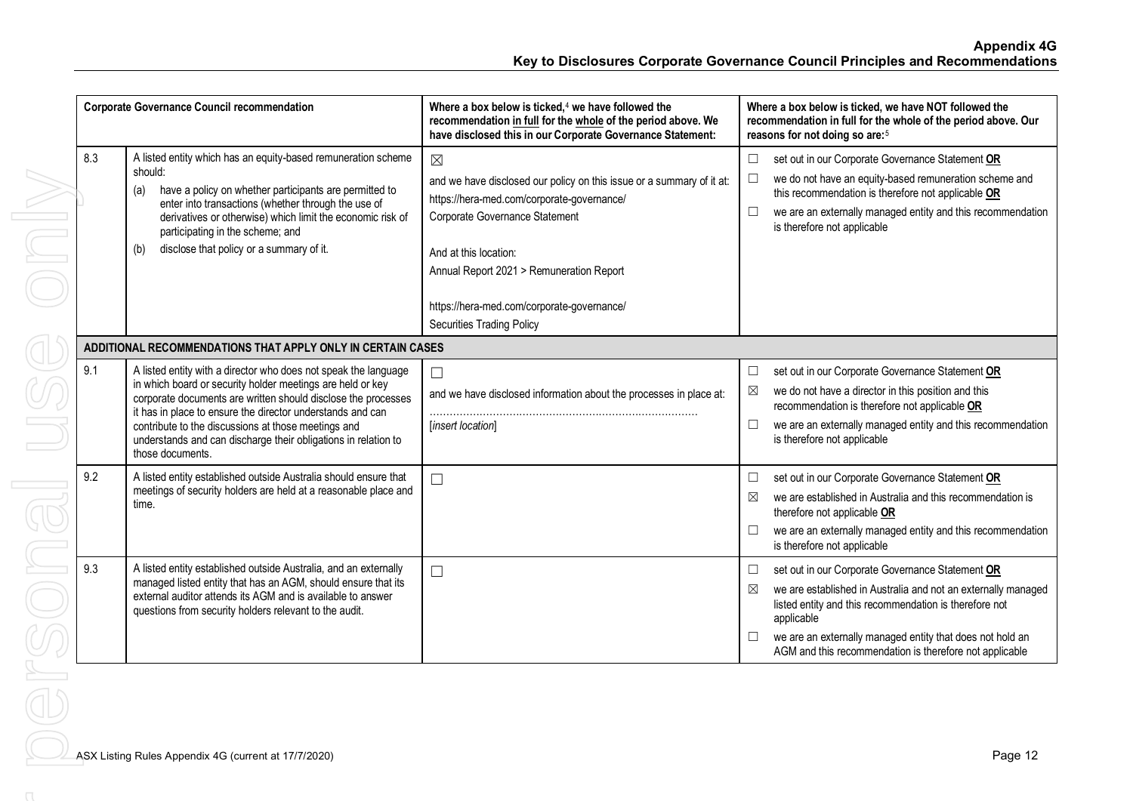|     | <b>Corporate Governance Council recommendation</b>                                                                                                                                                                                                                                                                                                                                                        | Where a box below is ticked, $4$ we have followed the<br>recommendation in full for the whole of the period above. We<br>have disclosed this in our Corporate Governance Statement:                                                       | Where a box below is ticked, we have NOT followed the<br>recommendation in full for the whole of the period above. Our<br>reasons for not doing so are: <sup>5</sup>                                                                                                                                                             |
|-----|-----------------------------------------------------------------------------------------------------------------------------------------------------------------------------------------------------------------------------------------------------------------------------------------------------------------------------------------------------------------------------------------------------------|-------------------------------------------------------------------------------------------------------------------------------------------------------------------------------------------------------------------------------------------|----------------------------------------------------------------------------------------------------------------------------------------------------------------------------------------------------------------------------------------------------------------------------------------------------------------------------------|
| 8.3 | A listed entity which has an equity-based remuneration scheme<br>should:<br>have a policy on whether participants are permitted to<br>(a)<br>enter into transactions (whether through the use of<br>derivatives or otherwise) which limit the economic risk of<br>participating in the scheme; and<br>disclose that policy or a summary of it.<br>(b)                                                     | $\boxtimes$<br>and we have disclosed our policy on this issue or a summary of it at:<br>https://hera-med.com/corporate-governance/<br>Corporate Governance Statement<br>And at this location:<br>Annual Report 2021 > Remuneration Report | set out in our Corporate Governance Statement OR<br>$\Box$<br>we do not have an equity-based remuneration scheme and<br>this recommendation is therefore not applicable OR<br>we are an externally managed entity and this recommendation<br>$\Box$<br>is therefore not applicable                                               |
|     |                                                                                                                                                                                                                                                                                                                                                                                                           | https://hera-med.com/corporate-governance/<br><b>Securities Trading Policy</b>                                                                                                                                                            |                                                                                                                                                                                                                                                                                                                                  |
|     | ADDITIONAL RECOMMENDATIONS THAT APPLY ONLY IN CERTAIN CASES                                                                                                                                                                                                                                                                                                                                               |                                                                                                                                                                                                                                           |                                                                                                                                                                                                                                                                                                                                  |
| 9.1 | A listed entity with a director who does not speak the language<br>in which board or security holder meetings are held or key<br>corporate documents are written should disclose the processes<br>it has in place to ensure the director understands and can<br>contribute to the discussions at those meetings and<br>understands and can discharge their obligations in relation to<br>those documents. | $\Box$<br>and we have disclosed information about the processes in place at:<br>[insert location]                                                                                                                                         | set out in our Corporate Governance Statement OR<br>$\Box$<br>we do not have a director in this position and this<br>$\boxtimes$<br>recommendation is therefore not applicable OR<br>we are an externally managed entity and this recommendation<br>is therefore not applicable                                                  |
| 9.2 | A listed entity established outside Australia should ensure that<br>meetings of security holders are held at a reasonable place and<br>time.                                                                                                                                                                                                                                                              | $\Box$                                                                                                                                                                                                                                    | set out in our Corporate Governance Statement OR<br>$\Box$<br>we are established in Australia and this recommendation is<br>$\boxtimes$<br>therefore not applicable OR<br>we are an externally managed entity and this recommendation<br>$\Box$<br>is therefore not applicable                                                   |
| 9.3 | A listed entity established outside Australia, and an externally<br>managed listed entity that has an AGM, should ensure that its<br>external auditor attends its AGM and is available to answer<br>questions from security holders relevant to the audit.                                                                                                                                                | $\Box$                                                                                                                                                                                                                                    | set out in our Corporate Governance Statement OR<br>$\boxtimes$<br>we are established in Australia and not an externally managed<br>listed entity and this recommendation is therefore not<br>applicable<br>we are an externally managed entity that does not hold an<br>AGM and this recommendation is therefore not applicable |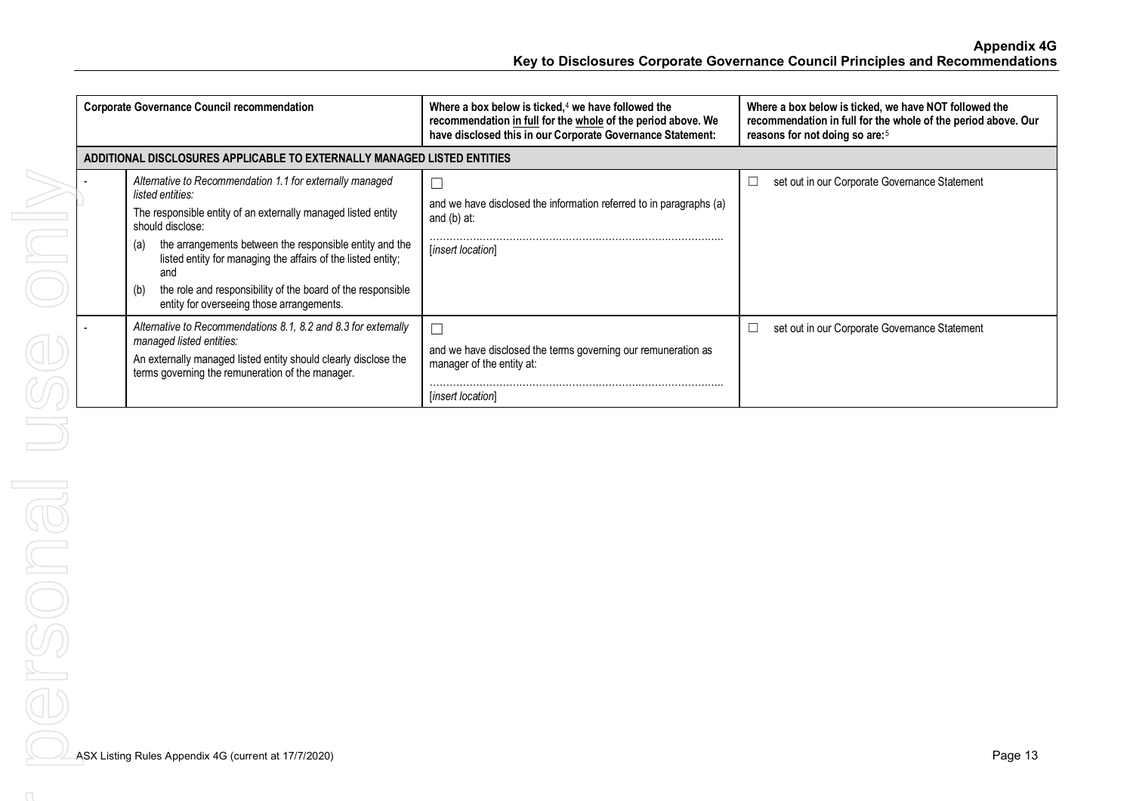**Appendix 4G Key to Disclosures Corporate Governance Council Principles and Recommendations**

| <b>Corporate Governance Council recommendation</b>                      |                                                                                                                                                                                                                                                                                                                                                                                                                               | Where a box below is ticked, $4$ we have followed the<br>recommendation in full for the whole of the period above. We<br>have disclosed this in our Corporate Governance Statement: | Where a box below is ticked, we have NOT followed the<br>recommendation in full for the whole of the period above. Our<br>reasons for not doing so are: <sup>5</sup> |  |
|-------------------------------------------------------------------------|-------------------------------------------------------------------------------------------------------------------------------------------------------------------------------------------------------------------------------------------------------------------------------------------------------------------------------------------------------------------------------------------------------------------------------|-------------------------------------------------------------------------------------------------------------------------------------------------------------------------------------|----------------------------------------------------------------------------------------------------------------------------------------------------------------------|--|
| ADDITIONAL DISCLOSURES APPLICABLE TO EXTERNALLY MANAGED LISTED ENTITIES |                                                                                                                                                                                                                                                                                                                                                                                                                               |                                                                                                                                                                                     |                                                                                                                                                                      |  |
|                                                                         | Alternative to Recommendation 1.1 for externally managed<br>listed entities:<br>The responsible entity of an externally managed listed entity<br>should disclose:<br>the arrangements between the responsible entity and the<br>(a)<br>listed entity for managing the affairs of the listed entity;<br>and<br>the role and responsibility of the board of the responsible<br>(b)<br>entity for overseeing those arrangements. | Ē<br>and we have disclosed the information referred to in paragraphs (a)<br>and $(b)$ at:<br>[insert location]                                                                      | set out in our Corporate Governance Statement                                                                                                                        |  |
|                                                                         | Alternative to Recommendations 8.1, 8.2 and 8.3 for externally<br>managed listed entities:<br>An externally managed listed entity should clearly disclose the<br>terms governing the remuneration of the manager.                                                                                                                                                                                                             | $\Box$<br>and we have disclosed the terms governing our remuneration as<br>manager of the entity at:<br><i>linsert location</i>                                                     | set out in our Corporate Governance Statement                                                                                                                        |  |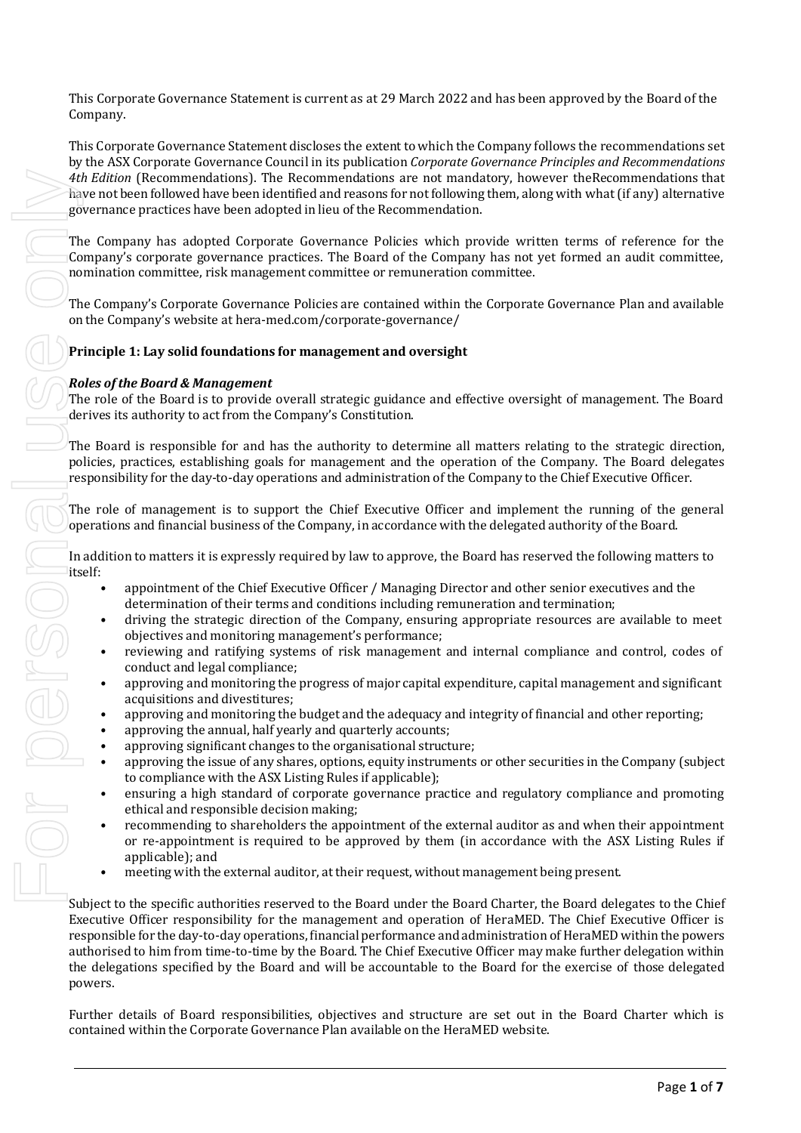This Corporate Governance Statement is current as at 29 March 2022 and has been approved by the Board of the Company.

This Corporate Governance Statement discloses the extent to which the Company follows the recommendations set by the ASX Corporate Governance Council in its publication *Corporate Governance Principles and Recommendations 4th Edition* (Recommendations). The Recommendations are not mandatory, however theRecommendations that have not been followed have been identified and reasons for not following them, along with what (if any) alternative governance practices have been adopted in lieu of the Recommendation.

The Company has adopted Corporate Governance Policies which provide written terms of reference for the Company's corporate governance practices. The Board of the Company has not yet formed an audit committee, nomination committee, risk management committee or remuneration committee.

The Company's Corporate Governance Policies are contained within the Corporate Governance Plan and available on the Company's website at hera-med.com/corporate-governance/

# **Principle 1: Lay solid foundations for management and oversight**

#### *Roles of the Board & Management*

The role of the Board is to provide overall strategic guidance and effective oversight of management. The Board derives its authority to act from the Company's Constitution.

The Board is responsible for and has the authority to determine all matters relating to the strategic direction, policies, practices, establishing goals for management and the operation of the Company. The Board delegates responsibility for the day-to-day operations and administration of the Company to the Chief Executive Officer.

The role of management is to support the Chief Executive Officer and implement the running of the general operations and financial business of the Company, in accordance with the delegated authority of the Board.

In addition to matters it is expressly required by law to approve, the Board has reserved the following matters to

- appointment of the Chief Executive Officer / Managing Director and other senior executives and the determination of their terms and conditions including remuneration and termination;
- driving the strategic direction of the Company, ensuring appropriate resources are available to meet objectives and monitoring management's performance;
- reviewing and ratifying systems of risk management and internal compliance and control, codes of conduct and legal compliance;
- approving and monitoring the progress of major capital expenditure, capital management and significant acquisitions and divestitures;
- approving and monitoring the budget and the adequacy and integrity of financial and other reporting;
- approving the annual, half yearly and quarterly accounts;
- approving significant changes to the organisational structure;
- approving the issue of any shares, options, equity instruments or other securities in the Company (subject to compliance with the ASX Listing Rules if applicable);
- ensuring a high standard of corporate governance practice and regulatory compliance and promoting ethical and responsible decision making;
- recommending to shareholders the appointment of the external auditor as and when their appointment or re-appointment is required to be approved by them (in accordance with the ASX Listing Rules if applicable); and
- meeting with the external auditor, at their request, without management being present.

Subject to the specific authorities reserved to the Board under the Board Charter, the Board delegates to the Chief Executive Officer responsibility for the management and operation of HeraMED. The Chief Executive Officer is responsible for the day-to-day operations, financial performance and administration of HeraMED within the powers authorised to him from time-to-time by the Board. The Chief Executive Officer may make further delegation within the delegations specified by the Board and will be accountable to the Board for the exercise of those delegated powers.

Further details of Board responsibilities, objectives and structure are set out in the Board Charter which is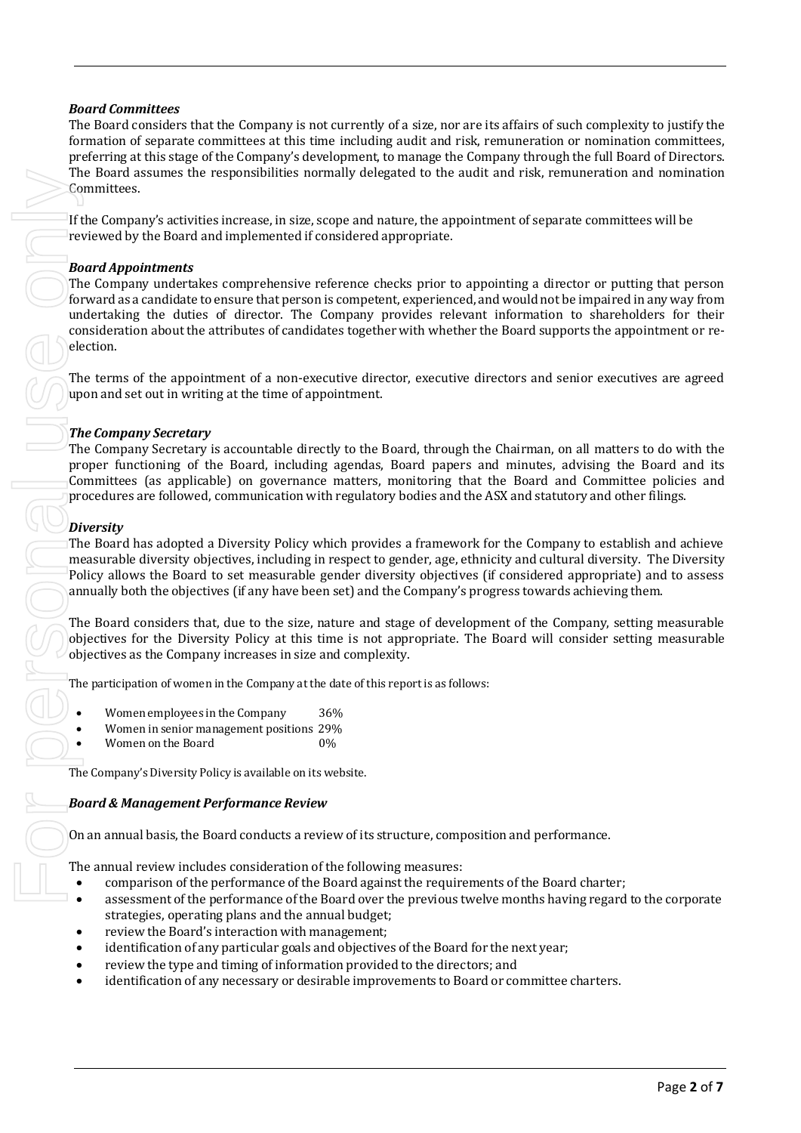# *Board Committees*

The Board considers that the Company is not currently of a size, nor are its affairs of such complexity to justify the formation of separate committees at this time including audit and risk, remuneration or nomination committees, preferring at this stage of the Company's development, to manage the Company through the full Board of Directors. The Board assumes the responsibilities normally delegated to the audit and risk, remuneration and nomination Committees.

If the Company's activities increase, in size, scope and nature, the appointment of separate committees will be reviewed by the Board and implemented if considered appropriate.

### *Board Appointments*

The Company undertakes comprehensive reference checks prior to appointing a director or putting that person forward as a candidate to ensure that person is competent, experienced, and would not be impaired in any way from undertaking the duties of director. The Company provides relevant information to shareholders for their consideration about the attributes of candidates together with whether the Board supports the appointment or reelection.

The terms of the appointment of a non-executive director, executive directors and senior executives are agreed upon and set out in writing at the time of appointment.

# *The Company Secretary*

The Company Secretary is accountable directly to the Board, through the Chairman, on all matters to do with the proper functioning of the Board, including agendas, Board papers and minutes, advising the Board and its Committees (as applicable) on governance matters, monitoring that the Board and Committee policies and procedures are followed, communication with regulatory bodies and the ASX and statutory and other filings.

# *Diversity*

The Board has adopted a Diversity Policy which provides a framework for the Company to establish and achieve measurable diversity objectives, including in respect to gender, age, ethnicity and cultural diversity. The Diversity Policy allows the Board to set measurable gender diversity objectives (if considered appropriate) and to assess annually both the objectives (if any have been set) and the Company's progress towards achieving them.

The Board considers that, due to the size, nature and stage of development of the Company, setting measurable objectives for the Diversity Policy at this time is not appropriate. The Board will consider setting measurable objectives as the Company increases in size and complexity.

The participation of women in the Company at the date of this report is as follows:

- Women employees in the Company 36%
- Women in senior management positions 29%
- Women on the Board 0%

The Company's Diversity Policy is available on its website.

#### *Board & Management Performance Review*

On an annual basis, the Board conducts a review of its structure, composition and performance.

The annual review includes consideration of the following measures:

- comparison of the performance of the Board against the requirements of the Board charter;
- assessment of the performance of the Board over the previous twelve months having regard to the corporate strategies, operating plans and the annual budget;
- review the Board's interaction with management;
- identification of any particular goals and objectives of the Board for the next year;
- review the type and timing of information provided to the directors; and
-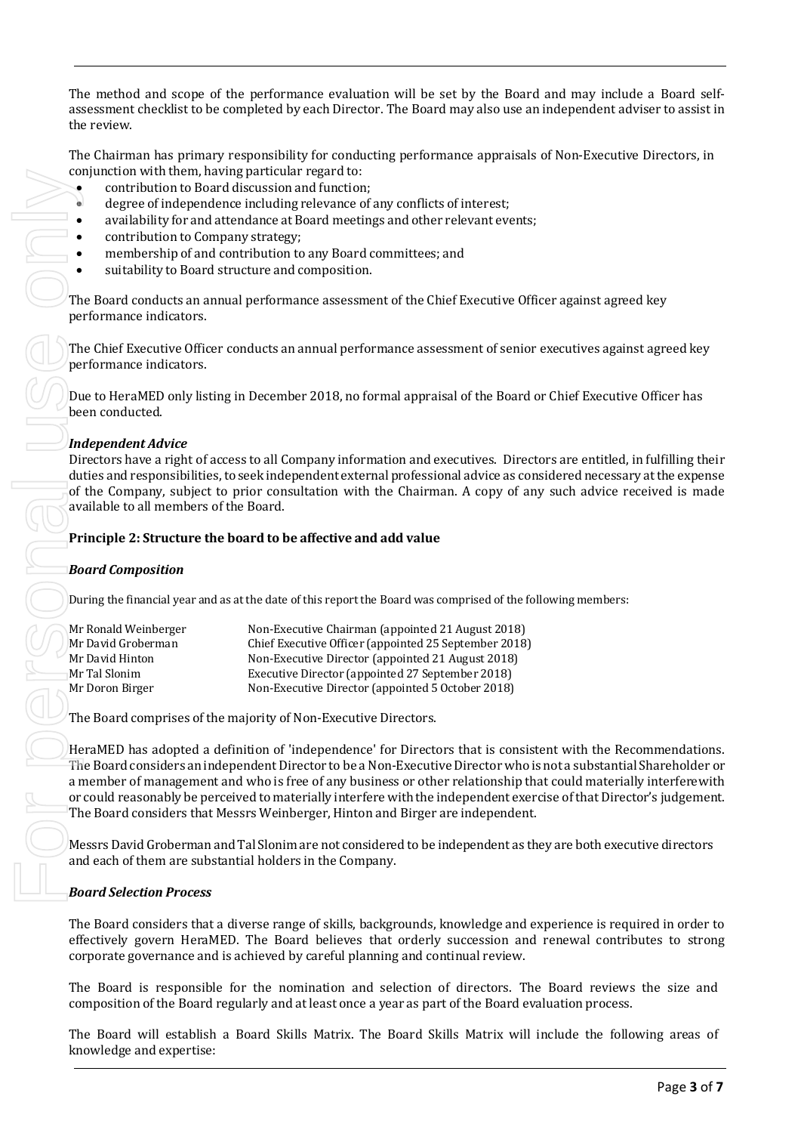The method and scope of the performance evaluation will be set by the Board and may include a Board selfassessment checklist to be completed by each Director. The Board may also use an independent adviser to assist in the review.

The Chairman has primary responsibility for conducting performance appraisals of Non-Executive Directors, in conjunction with them, having particular regard to:

- contribution to Board discussion and function;
- degree of independence including relevance of any conflicts of interest;
- availability for and attendance at Board meetings and other relevant events;
- contribution to Company strategy;
	- membership of and contribution to any Board committees; and
- suitability to Board structure and composition.

The Board conducts an annual performance assessment of the Chief Executive Officer against agreed key performance indicators.

The Chief Executive Officer conducts an annual performance assessment of senior executives against agreed key performance indicators.

Due to HeraMED only listing in December 2018, no formal appraisal of the Board or Chief Executive Officer has been conducted.

# *Independent Advice*

Directors have a right of access to all Company information and executives. Directors are entitled, in fulfilling their duties and responsibilities, to seek independent external professional advice as considered necessary at the expense of the Company, subject to prior consultation with the Chairman. A copy of any such advice received is made available to all members of the Board.

#### **Principle 2: Structure the board to be affective and add value**

#### *Board Composition*

During the financial year and as at the date of this report the Board was comprised of the following members:

| Mr Ronald Weinberger | Non-Executive Chairman (appointed 21 August 2018)     |
|----------------------|-------------------------------------------------------|
| Mr David Groberman   | Chief Executive Officer (appointed 25 September 2018) |
| Mr David Hinton      | Non-Executive Director (appointed 21 August 2018)     |
| Mr Tal Slonim        | Executive Director (appointed 27 September 2018)      |
| Mr Doron Birger      | Non-Executive Director (appointed 5 October 2018)     |
|                      |                                                       |

The Board comprises of the majority of Non-Executive Directors.

HeraMED has adopted a definition of 'independence' for Directors that is consistent with the Recommendations. The Board considers an independent Director to be a Non-Executive Director who is not a substantial Shareholder or a member of management and who is free of any business or other relationship that could materially interferewith or could reasonably be perceived to materially interfere with the independent exercise of that Director's judgement. The Board considers that Messrs Weinberger, Hinton and Birger are independent.

MessrsDavidGroberman andTal Slonim are not considered to be independent as they are both executive directors and each of them are substantial holders in the Company.

#### *Board Selection Process*

The Board considers that a diverse range of skills, backgrounds, knowledge and experience is required in order to effectively govern HeraMED. The Board believes that orderly succession and renewal contributes to strong corporate governance and is achieved by careful planning and continual review.

The Board is responsible for the nomination and selection of directors. The Board reviews the size and composition of the Board regularly and at least once a year as part of the Board evaluation process.

The Board will establish a Board Skills Matrix. The Board Skills Matrix will include the following areas of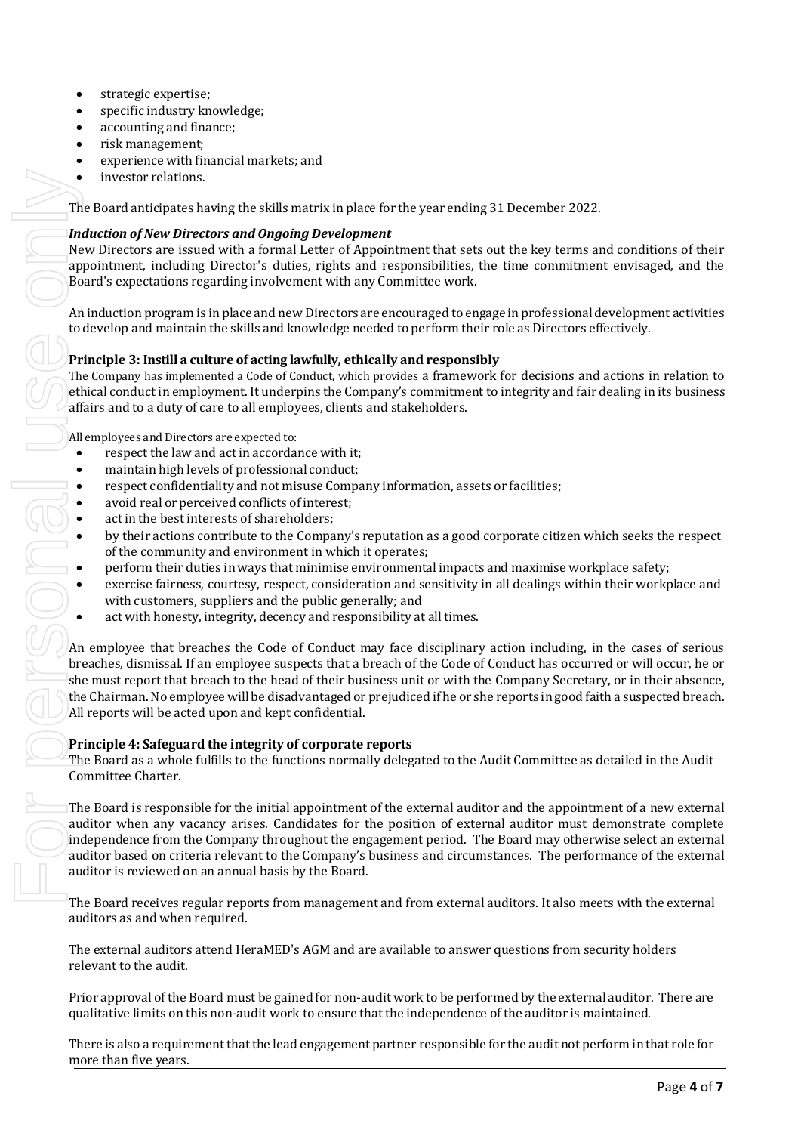- strategic expertise;
- specific industry knowledge;
- accounting and finance;
- risk management;
- experience with financial markets; and
- investor relations.

The Board anticipates having the skills matrix in place for the year ending 31 December 2022.

### *Induction of New Directors and Ongoing Development*

New Directors are issued with a formal Letter of Appointment that sets out the key terms and conditions of their appointment, including Director's duties, rights and responsibilities, the time commitment envisaged, and the Board's expectations regarding involvement with any Committee work.

An induction program is in place and new Directors are encouraged to engage in professional development activities to develop and maintain the skills and knowledge needed to perform their role as Directors effectively.

#### **Principle 3: Instill a culture of acting lawfully, ethically and responsibly**

The Company has implemented a Code of Conduct, which provides a framework for decisions and actions in relation to ethical conduct in employment. It underpins the Company's commitment to integrity and fair dealing in its business affairs and to a duty of care to all employees, clients and stakeholders.

All employees and Directors are expected to:

- respect the law and act in accordance with it;
- maintain high levels of professional conduct;
- 
- avoid real or perceived conflicts of interest:
- act in the best interests of shareholders:
- respect confidentiality and not misuse Company information, assets or facilities;<br>avoid real or perceived conflicts of interest;<br>act in the best interests of shareholders;<br>by their actions contribute to the Company's rep • by their actions contribute to the Company's reputation as a good corporate citizen which seeks the respect of the community and environment in which it operates;
	- perform their duties in ways that minimise environmental impacts and maximise workplace safety;
	- exercise fairness, courtesy, respect, consideration and sensitivity in all dealings within their workplace and with customers, suppliers and the public generally; and
	- act with honesty, integrity, decency and responsibility at all times.

An employee that breaches the Code of Conduct may face disciplinary action including, in the cases of serious breaches, dismissal. If an employee suspects that a breach of the Code of Conduct has occurred or will occur, he or she must report that breach to the head of their business unit or with the Company Secretary, or in their absence, the Chairman. No employee will be disadvantaged or prejudiced if he or she reports in good faith a suspected breach. All reports will be acted upon and kept confidential.

#### **Principle 4: Safeguard the integrity of corporate reports**

The Board as a whole fulfills to the functions normally delegated to the Audit Committee as detailed in the Audit Committee Charter.

The Board is responsible for the initial appointment of the external auditor and the appointment of a new external auditor when any vacancy arises. Candidates for the position of external auditor must demonstrate complete independence from the Company throughout the engagement period. The Board may otherwise select an external auditor based on criteria relevant to the Company's business and circumstances. The performance of the external auditor is reviewed on an annual basis by the Board.

The Board receives regular reports from management and from external auditors. It also meets with the external auditors as and when required.

The external auditors attend HeraMED's AGM and are available to answer questions from security holders relevant to the audit.

Prior approval of the Board must be gained for non-auditwork to be performed by the external auditor. There are qualitative limits on this non-audit work to ensure that the independence of the auditor is maintained.

There is also a requirement thatthe lead engagement partner responsible for the audit not perform in that role for more than five years.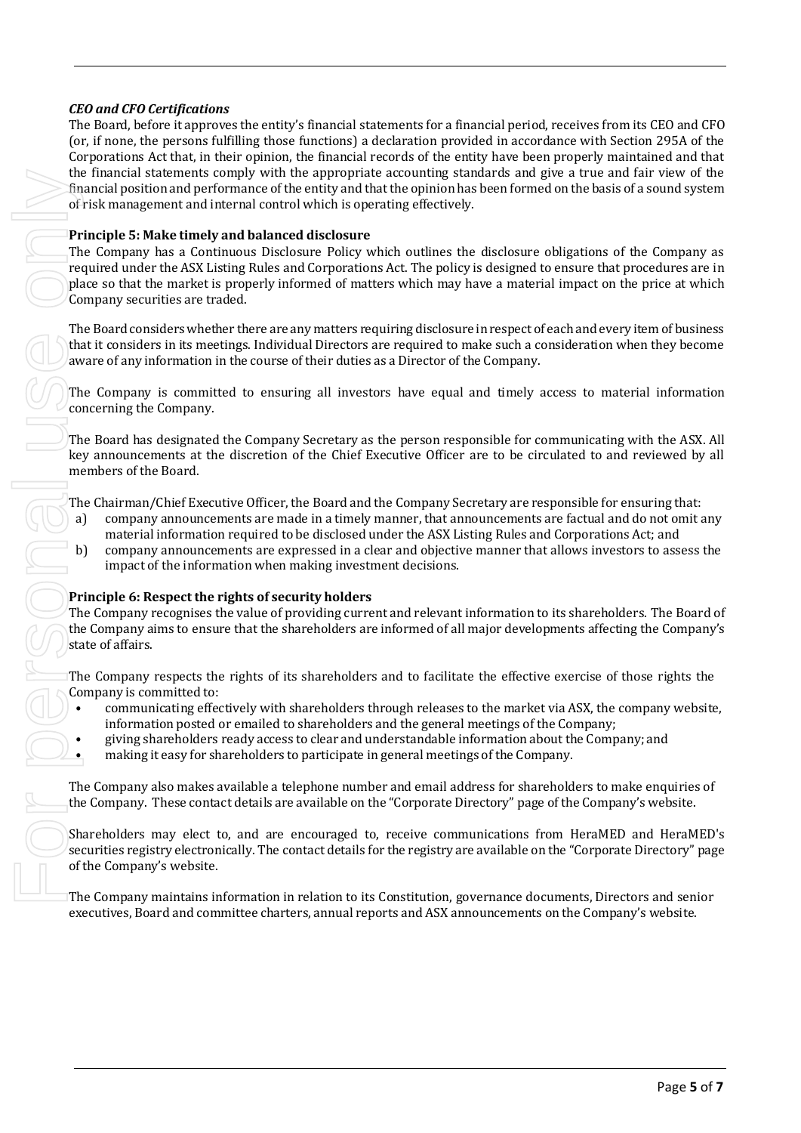# *CEO and CFO Certifications*

The Board, before it approves the entity's financial statements for a financial period, receives from its CEO and CFO (or, if none, the persons fulfilling those functions) a declaration provided in accordance with Section 295A of the Corporations Act that, in their opinion, the financial records of the entity have been properly maintained and that the financial statements comply with the appropriate accounting standards and give a true and fair view of the financial position and performance of the entity and that the opinion has been formed on the basis of a sound system of risk management and internal control which is operating effectively.

#### **Principle 5: Make timely and balanced disclosure**

The Company has a Continuous Disclosure Policy which outlines the disclosure obligations of the Company as required under the ASX Listing Rules and Corporations Act. The policy is designed to ensure that procedures are in place so that the market is properly informed of matters which may have a material impact on the price at which Company securities are traded. The Frances attention in relation in the Company main transmission in relation in relation in relation to the Company matrix constitution in relation to its Constitution in relation to the Constitution of the Company may a

The Board considers whether there are any matters requiring disclosure in respect of each and every item of business that it considers in its meetings. Individual Directors are required to make such a consideration when they become aware of any information in the course of their duties as a Director of the Company.

The Company is committed to ensuring all investors have equal and timely access to material information concerning the Company.

The Board has designated the Company Secretary as the person responsible for communicating with the ASX. All key announcements at the discretion of the Chief Executive Officer are to be circulated to and reviewed by all members of the Board.

The Chairman/Chief Executive Officer, the Board and the Company Secretary are responsible for ensuring that:

- a) company announcements are made in a timely manner, that announcements are factual and do not omit any material information required to be disclosed under the ASX Listing Rules and Corporations Act; and
- b) company announcements are expressed in a clear and objective manner that allows investors to assess the impact of the information when making investment decisions.

#### **Principle 6: Respect the rights of security holders**

The Company recognises the value of providing current and relevant information to its shareholders. The Board of the Company aims to ensure that the shareholders are informed of all major developments affecting the Company's state of affairs.

The Company respects the rights of its shareholders and to facilitate the effective exercise of those rights the Company is committed to:

- communicating effectively with shareholders through releases to the market via ASX, the company website, information posted or emailed to shareholders and the general meetings of the Company;
- giving shareholders ready access to clear and understandable information about the Company; and
- making it easy for shareholders to participate in general meetings of the Company.

The Company also makes available a telephone number and email address for shareholders to make enquiries of the Company. These contact details are available on the "Corporate Directory" page of the Company's website.

Shareholders may elect to, and are encouraged to, receive communications from HeraMED and HeraMED's securities registry electronically. The contact details for the registry are available on the "Corporate Directory" page of the Company's website.

executives, Board and committee charters, annual reports and ASX announcements on the Company's website.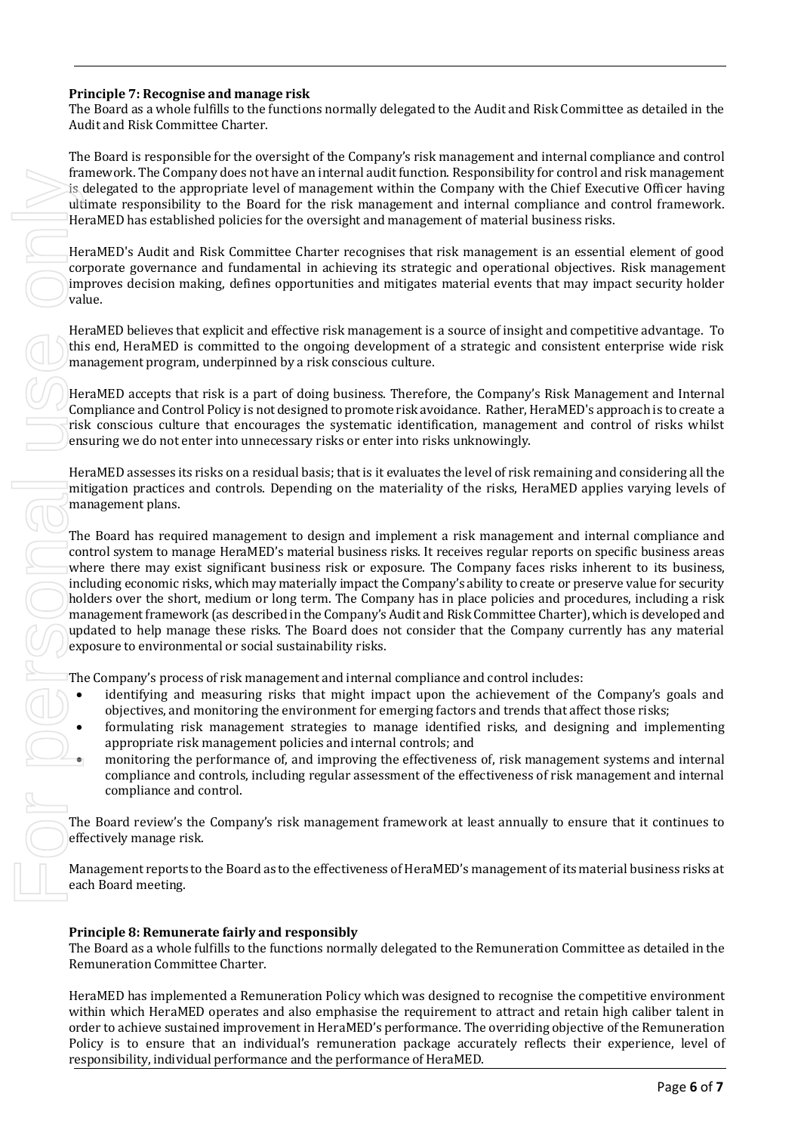# **Principle 7: Recognise and manage risk**

The Board as a whole fulfills to the functions normally delegated to the Audit and Risk Committee as detailed in the Audit and Risk Committee Charter.

The Board is responsible for the oversight of the Company's risk management and internal compliance and control framework. The Company does not have an internal audit function. Responsibility for control and risk management is delegated to the appropriate level of management within the Company with the Chief Executive Officer having ultimate responsibility to the Board for the risk management and internal compliance and control framework. HeraMED has established policies for the oversight and management of material business risks.

HeraMED's Audit and Risk Committee Charter recognises that risk management is an essential element of good corporate governance and fundamental in achieving its strategic and operational objectives. Risk management improves decision making, defines opportunities and mitigates material events that may impact security holder value.

HeraMED believes that explicit and effective risk management is a source of insight and competitive advantage. To this end, HeraMED is committed to the ongoing development of a strategic and consistent enterprise wide risk management program, underpinned by a risk conscious culture.

HeraMED accepts that risk is a part of doing business. Therefore, the Company's Risk Management and Internal Compliance and Control Policy is not designed to promote risk avoidance. Rather, HeraMED's approach is to create a risk conscious culture that encourages the systematic identification, management and control of risks whilst ensuring we do not enter into unnecessary risks or enter into risks unknowingly.

HeraMED assesses its risks on a residual basis; that is it evaluates the level of risk remaining and considering all the mitigation practices and controls. Depending on the materiality of the risks, HeraMED applies varying levels of management plans.

The Board has required management to design and implement a risk management and internal compliance and control system to manage HeraMED's material business risks. It receives regular reports on specific business areas where there may exist significant business risk or exposure. The Company faces risks inherent to its business, including economic risks, which may materially impact the Company's ability to create or preserve value for security holders over the short, medium or long term. The Company has in place policies and procedures, including a risk management framework (as described in the Company's Audit and Risk Committee Charter), which is developed and updated to help manage these risks. The Board does not consider that the Company currently has any material exposure to environmental or social sustainability risks. Framework: The Company density in the Board for the Ford Ramagement workin the Company of the Board for the oversight and interacted and the company licerablisity is one-blow to the Ford Company interacted and the perform

The Company's process of risk management and internal compliance and control includes:

- identifying and measuring risks that might impact upon the achievement of the Company's goals and objectives, and monitoring the environment for emerging factors and trends that affect those risks;
- formulating risk management strategies to manage identified risks, and designing and implementing appropriate risk management policies and internal controls; and
- monitoring the performance of, and improving the effectiveness of, risk management systems and internal compliance and controls, including regular assessment of the effectiveness of risk management and internal compliance and control.

The Board review's the Company's risk management framework at least annually to ensure that it continues to effectively manage risk.

Management reports to the Board as to the effectiveness of HeraMED's management of its material business risks at each Board meeting.

# **Principle 8: Remunerate fairly and responsibly**

The Board as a whole fulfills to the functions normally delegated to the Remuneration Committee as detailed in the Remuneration Committee Charter.

HeraMED has implemented a Remuneration Policy which was designed to recognise the competitive environment within which HeraMED operates and also emphasise the requirement to attract and retain high caliber talent in order to achieve sustained improvement in HeraMED's performance. The overriding objective of the Remuneration Policy is to ensure that an individual's remuneration package accurately reflects their experience, level of